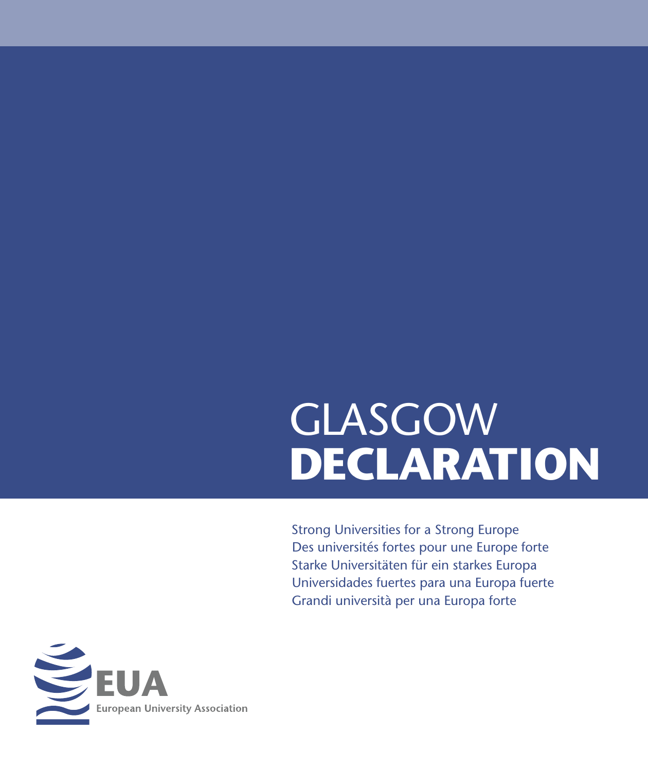# GLASGOW **DECLARATION**

Strong Universities for a Strong Europe Des universités fortes pour une Europe forte Starke Universitäten für ein starkes Europa Universidades fuertes para una Europa fuerte Grandi università per una Europa forte

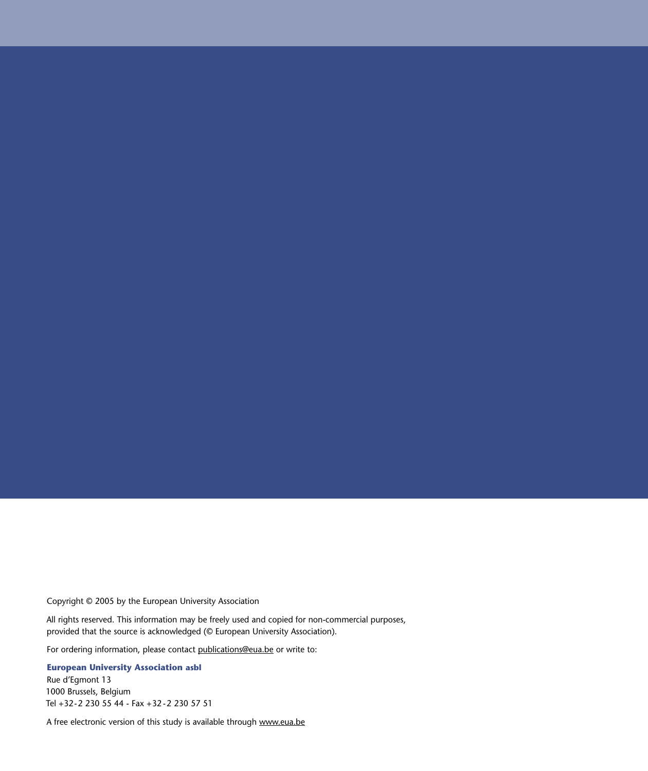Copyright © 2005 by the European University Association

All rights reserved. This information may be freely used and copied for non-commercial purposes, provided that the source is acknowledged (© European University Association).

For ordering information, please contact publications@eua.be or write to:

**European University Association asbl**

Rue d'Egmont 13 1000 Brussels, Belgium Tel +32-2 230 55 44 - Fax +32 -2 230 57 51

A free electronic version of this study is available through www.eua.be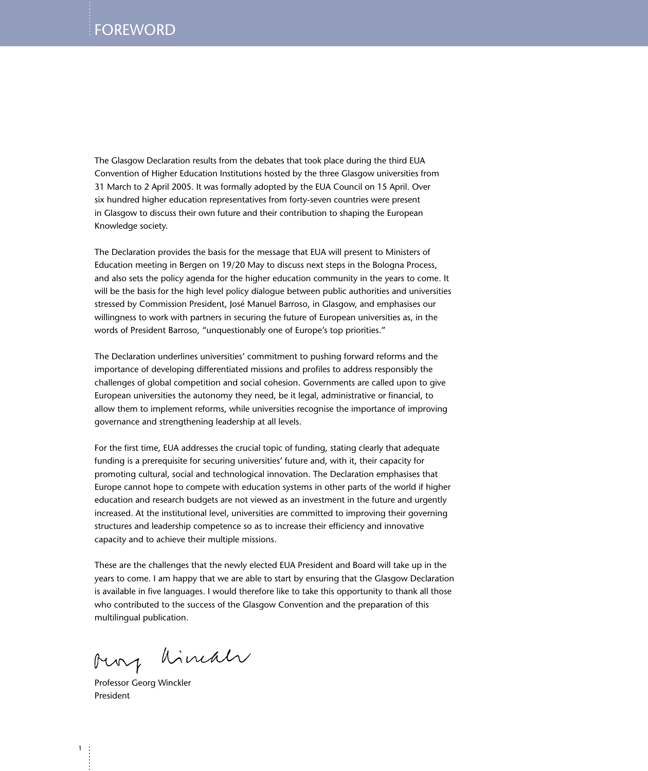The Glasgow Declaration results from the debates that took place during the third EUA Convention of Higher Education Institutions hosted by the three Glasgow universities from 31 March to 2 April 2005. It was formally adopted by the EUA Council on 15 April. Over six hundred higher education representatives from forty-seven countries were present in Glasgow to discuss their own future and their contribution to shaping the European Knowledge society.

The Declaration provides the basis for the message that EUA will present to Ministers of Education meeting in Bergen on 19/20 May to discuss next steps in the Bologna Process, and also sets the policy agenda for the higher education community in the years to come. It will be the basis for the high level policy dialogue between public authorities and universities stressed by Commission President, José Manuel Barroso, in Glasgow, and emphasises our willingness to work with partners in securing the future of European universities as, in the words of President Barroso, "unquestionably one of Europe's top priorities."

The Declaration underlines universities' commitment to pushing forward reforms and the importance of developing differentiated missions and profiles to address responsibly the challenges of global competition and social cohesion. Governments are called upon to give European universities the autonomy they need, be it legal, administrative or financial, to allow them to implement reforms, while universities recognise the importance of improving governance and strengthening leadership at all levels.

For the first time, EUA addresses the crucial topic of funding, stating clearly that adequate funding is a prerequisite for securing universities' future and, with it, their capacity for promoting cultural, social and technological innovation. The Declaration emphasises that Europe cannot hope to compete with education systems in other parts of the world if higher education and research budgets are not viewed as an investment in the future and urgently increased. At the institutional level, universities are committed to improving their governing structures and leadership competence so as to increase their efficiency and innovative capacity and to achieve their multiple missions.

These are the challenges that the newly elected EUA President and Board will take up in the years to come. I am happy that we are able to start by ensuring that the Glasgow Declaration is available in five languages. I would therefore like to take this opportunity to thank all those who contributed to the success of the Glasgow Convention and the preparation of this multilingual publication.

oury himal

Professor Georg Winckler President

1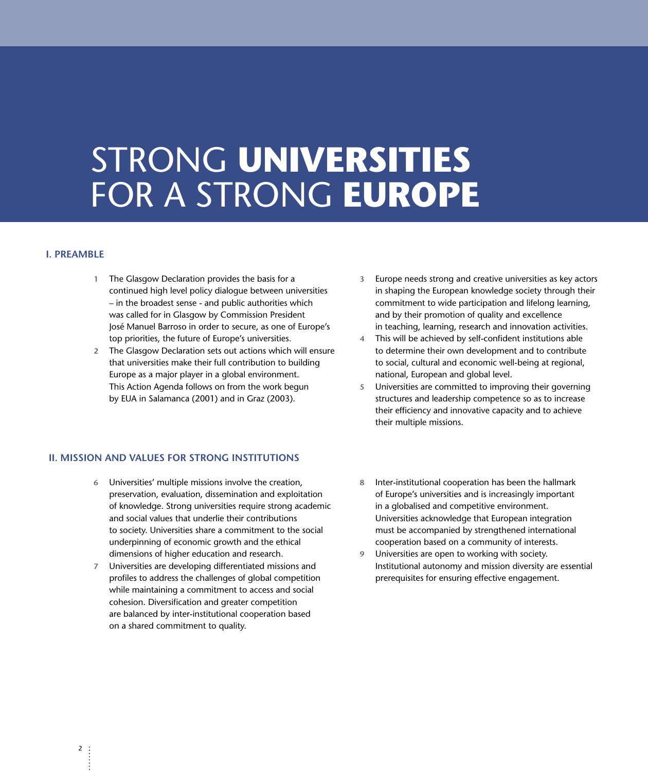### STRONG **UNIVERSITIES** FOR A STRONG **EUROPE**

#### **I. PREAMBLE**

- **1** The Glasgow Declaration provides the basis for a continued high level policy dialogue between universities – in the broadest sense - and public authorities which was called for in Glasgow by Commission President José Manuel Barroso in order to secure, as one of Europe's top priorities, the future of Europe's universities.
- **2** The Glasgow Declaration sets out actions which will ensure that universities make their full contribution to building Europe as a major player in a global environment. This Action Agenda follows on from the work begun by EUA in Salamanca (2001) and in Graz (2003).
- **3** Europe needs strong and creative universities as key actors in shaping the European knowledge society through their commitment to wide participation and lifelong learning, and by their promotion of quality and excellence in teaching, learning, research and innovation activities.
- **4** This will be achieved by self-confident institutions able to determine their own development and to contribute to social, cultural and economic well-being at regional, national, European and global level.
- **5** Universities are committed to improving their governing structures and leadership competence so as to increase their efficiency and innovative capacity and to achieve their multiple missions.

#### **II. MISSION AND VALUES FOR STRONG INSTITUTIONS**

- **6** Universities' multiple missions involve the creation, preservation, evaluation, dissemination and exploitation of knowledge. Strong universities require strong academic and social values that underlie their contributions to society. Universities share a commitment to the social underpinning of economic growth and the ethical dimensions of higher education and research.
- **7** Universities are developing differentiated missions and profiles to address the challenges of global competition while maintaining a commitment to access and social cohesion. Diversification and greater competition are balanced by inter-institutional cooperation based on a shared commitment to quality.
- **8** Inter-institutional cooperation has been the hallmark of Europe's universities and is increasingly important in a globalised and competitive environment. Universities acknowledge that European integration must be accompanied by strengthened international cooperation based on a community of interests.
- **9** Universities are open to working with society. Institutional autonomy and mission diversity are essential prerequisites for ensuring effective engagement.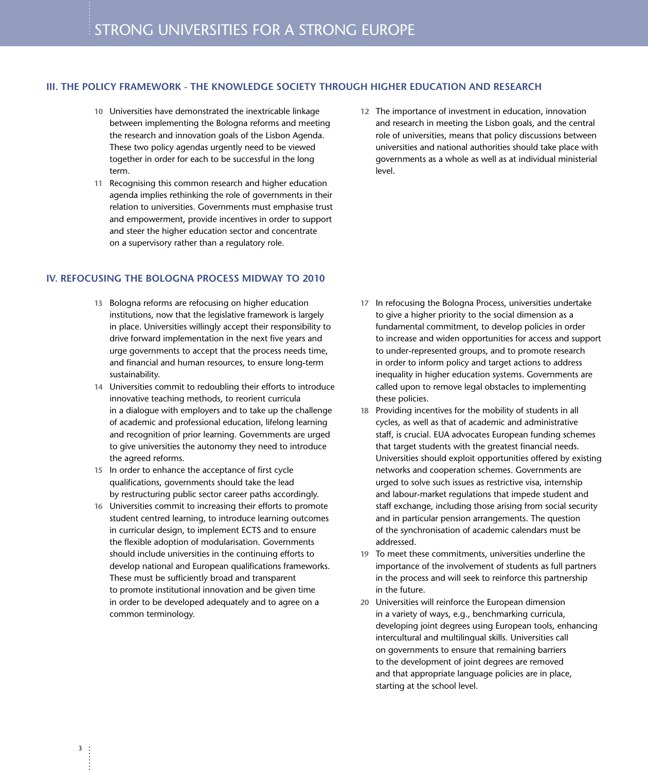#### **III. THE POLICY FRAMEWORK - THE KNOWLEDGE SOCIETY THROUGH HIGHER EDUCATION AND RESEARCH**

- **10** Universities have demonstrated the inextricable linkage between implementing the Bologna reforms and meeting the research and innovation goals of the Lisbon Agenda. These two policy agendas urgently need to be viewed together in order for each to be successful in the long term.
- **11** Recognising this common research and higher education agenda implies rethinking the role of governments in their relation to universities. Governments must emphasise trust and empowerment, provide incentives in order to support and steer the higher education sector and concentrate on a supervisory rather than a regulatory role.

#### **IV. REFOCUSING THE BOLOGNA PROCESS MIDWAY TO 2010**

- **13** Bologna reforms are refocusing on higher education institutions, now that the legislative framework is largely in place. Universities willingly accept their responsibility to drive forward implementation in the next five years and urge governments to accept that the process needs time, and financial and human resources, to ensure long-term sustainability.
- **14** Universities commit to redoubling their efforts to introduce innovative teaching methods, to reorient curricula in a dialogue with employers and to take up the challenge of academic and professional education, lifelong learning and recognition of prior learning. Governments are urged to give universities the autonomy they need to introduce the agreed reforms.
- **15** In order to enhance the acceptance of first cycle qualifications, governments should take the lead by restructuring public sector career paths accordingly.
- **16** Universities commit to increasing their efforts to promote student centred learning, to introduce learning outcomes in curricular design, to implement ECTS and to ensure the flexible adoption of modularisation. Governments should include universities in the continuing efforts to develop national and European qualifications frameworks. These must be sufficiently broad and transparent to promote institutional innovation and be given time in order to be developed adequately and to agree on a common terminology.

**12** The importance of investment in education, innovation and research in meeting the Lisbon goals, and the central role of universities, means that policy discussions between universities and national authorities should take place with governments as a whole as well as at individual ministerial level.

- **17** In refocusing the Bologna Process, universities undertake to give a higher priority to the social dimension as a fundamental commitment, to develop policies in order to increase and widen opportunities for access and support to under-represented groups, and to promote research in order to inform policy and target actions to address inequality in higher education systems. Governments are called upon to remove legal obstacles to implementing these policies.
- **18** Providing incentives for the mobility of students in all cycles, as well as that of academic and administrative staff, is crucial. EUA advocates European funding schemes that target students with the greatest financial needs. Universities should exploit opportunities offered by existing networks and cooperation schemes. Governments are urged to solve such issues as restrictive visa, internship and labour-market regulations that impede student and staff exchange, including those arising from social security and in particular pension arrangements. The question of the synchronisation of academic calendars must be addressed.
- **19** To meet these commitments, universities underline the importance of the involvement of students as full partners in the process and will seek to reinforce this partnership in the future.
- **20** Universities will reinforce the European dimension in a variety of ways, e.g., benchmarking curricula, developing joint degrees using European tools, enhancing intercultural and multilingual skills. Universities call on governments to ensure that remaining barriers to the development of joint degrees are removed and that appropriate language policies are in place, starting at the school level.

3  $\ddot{\cdot}$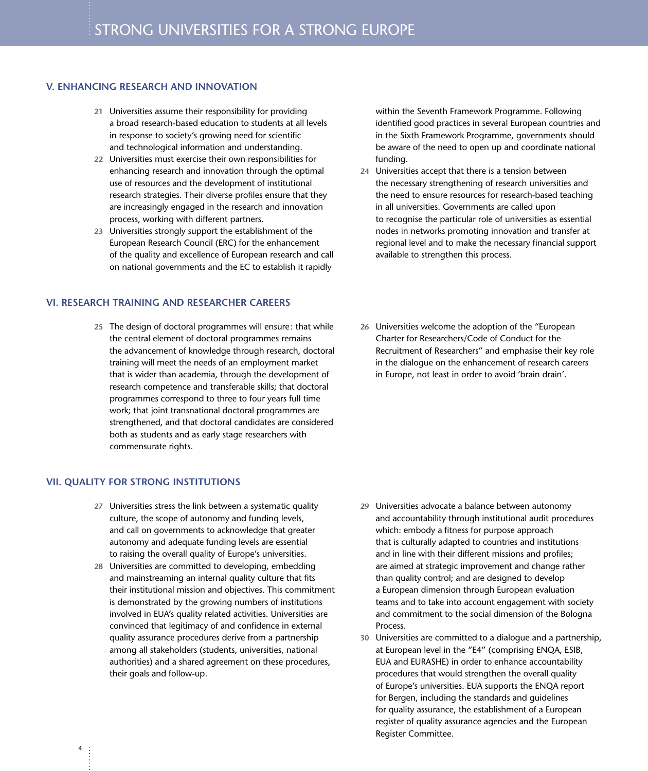#### **V. ENHANCING RESEARCH AND INNOVATION**

- **21** Universities assume their responsibility for providing a broad research-based education to students at all levels in response to society's growing need for scientific and technological information and understanding.
- **22** Universities must exercise their own responsibilities for enhancing research and innovation through the optimal use of resources and the development of institutional research strategies. Their diverse profiles ensure that they are increasingly engaged in the research and innovation process, working with different partners.
- **23** Universities strongly support the establishment of the European Research Council (ERC) for the enhancement of the quality and excellence of European research and call on national governments and the EC to establish it rapidly

#### **VI. RESEARCH TRAINING AND RESEARCHER CAREERS**

**25** The design of doctoral programmes will ensure : that while the central element of doctoral programmes remains the advancement of knowledge through research, doctoral training will meet the needs of an employment market that is wider than academia, through the development of research competence and transferable skills; that doctoral programmes correspond to three to four years full time work; that joint transnational doctoral programmes are strengthened, and that doctoral candidates are considered both as students and as early stage researchers with commensurate rights.

#### **VII. QUALITY FOR STRONG INSTITUTIONS**

4

- **27** Universities stress the link between a systematic quality culture, the scope of autonomy and funding levels, and call on governments to acknowledge that greater autonomy and adequate funding levels are essential to raising the overall quality of Europe's universities.
- **28** Universities are committed to developing, embedding and mainstreaming an internal quality culture that fits their institutional mission and objectives. This commitment is demonstrated by the growing numbers of institutions involved in EUA's quality related activities. Universities are convinced that legitimacy of and confidence in external quality assurance procedures derive from a partnership among all stakeholders (students, universities, national authorities) and a shared agreement on these procedures, their goals and follow-up.

within the Seventh Framework Programme. Following identified good practices in several European countries and in the Sixth Framework Programme, governments should be aware of the need to open up and coordinate national funding.

- **24** Universities accept that there is a tension between the necessary strengthening of research universities and the need to ensure resources for research-based teaching in all universities. Governments are called upon to recognise the particular role of universities as essential nodes in networks promoting innovation and transfer at regional level and to make the necessary financial support available to strengthen this process.
- **26** Universities welcome the adoption of the "European Charter for Researchers/Code of Conduct for the Recruitment of Researchers" and emphasise their key role in the dialogue on the enhancement of research careers in Europe, not least in order to avoid 'brain drain'.

- **29** Universities advocate a balance between autonomy and accountability through institutional audit procedures which: embody a fitness for purpose approach that is culturally adapted to countries and institutions and in line with their different missions and profiles; are aimed at strategic improvement and change rather than quality control; and are designed to develop a European dimension through European evaluation teams and to take into account engagement with society and commitment to the social dimension of the Bologna Process.
- **30** Universities are committed to a dialogue and a partnership, at European level in the "E4" (comprising ENQA, ESIB, EUA and EURASHE) in order to enhance accountability procedures that would strengthen the overall quality of Europe's universities. EUA supports the ENQA report for Bergen, including the standards and guidelines for quality assurance, the establishment of a European register of quality assurance agencies and the European Register Committee.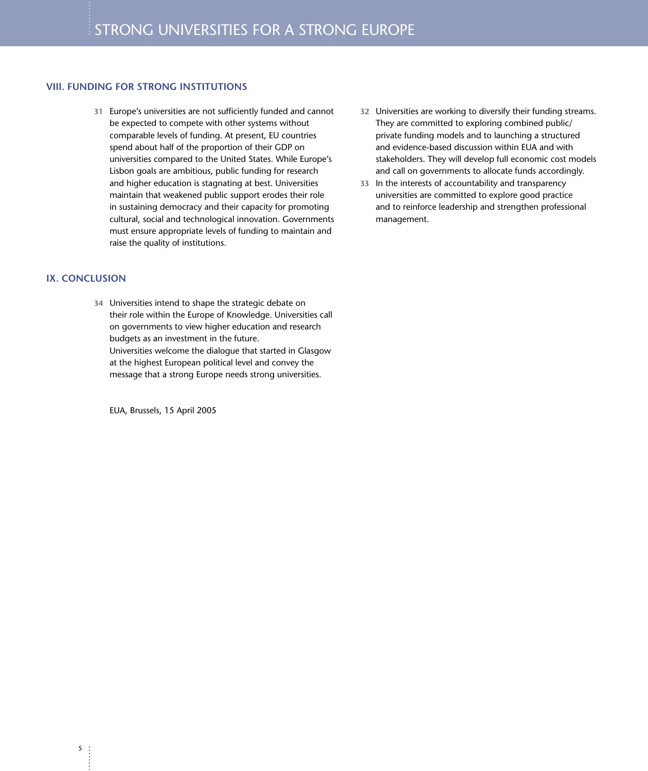#### **VIII. FUNDING FOR STRONG INSTITUTIONS**

**31** Europe's universities are not sufficiently funded and cannot be expected to compete with other systems without comparable levels of funding. At present, EU countries spend about half of the proportion of their GDP on universities compared to the United States. While Europe's Lisbon goals are ambitious, public funding for research and higher education is stagnating at best. Universities maintain that weakened public support erodes their role in sustaining democracy and their capacity for promoting cultural, social and technological innovation. Governments must ensure appropriate levels of funding to maintain and raise the quality of institutions.

#### **IX. CONCLUSION**

5

 $\ddot{\cdot}$ 

**34** Universities intend to shape the strategic debate on their role within the Europe of Knowledge. Universities call on governments to view higher education and research budgets as an investment in the future. Universities welcome the dialogue that started in Glasgow at the highest European political level and convey the message that a strong Europe needs strong universities.

EUA, Brussels, 15 April 2005

- **32** Universities are working to diversify their funding streams. They are committed to exploring combined public/ private funding models and to launching a structured and evidence-based discussion within EUA and with stakeholders. They will develop full economic cost models and call on governments to allocate funds accordingly.
- **33** In the interests of accountability and transparency universities are committed to explore good practice and to reinforce leadership and strengthen professional management.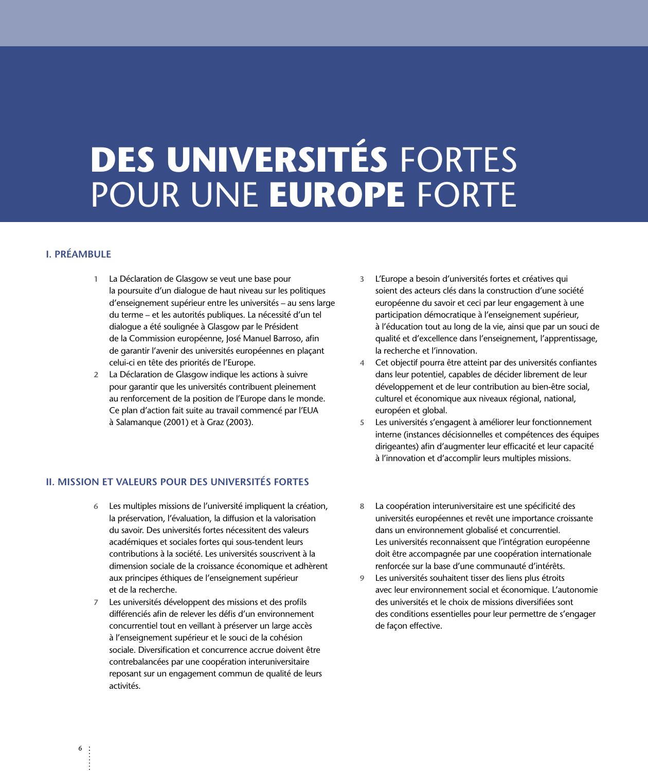# **DES UNIVERSITÉS FORTES** POUR UNE **EUROPE** FORTE

#### **I. PRÉAMBULE**

- **1** La Déclaration de Glasgow se veut une base pour la poursuite d'un dialogue de haut niveau sur les politiques d'enseignement supérieur entre les universités – au sens large du terme – et les autorités publiques. La nécessité d'un tel dialogue a été soulignée à Glasgow par le Président de la Commission européenne, José Manuel Barroso, afin de garantir l'avenir des universités européennes en plaçant celui-ci en tête des priorités de l'Europe.
- **2** La Déclaration de Glasgow indique les actions à suivre pour garantir que les universités contribuent pleinement au renforcement de la position de l'Europe dans le monde. Ce plan d'action fait suite au travail commencé par l'EUA à Salamanque (2001) et à Graz (2003).

#### **II. MISSION ET VALEURS POUR DES UNIVERSITÉS FORTES**

- **6** Les multiples missions de l'université impliquent la création, la préservation, l'évaluation, la diffusion et la valorisation du savoir. Des universités fortes nécessitent des valeurs académiques et sociales fortes qui sous-tendent leurs contributions à la société. Les universités souscrivent à la dimension sociale de la croissance économique et adhèrent aux principes éthiques de l'enseignement supérieur et de la recherche.
- **7** Les universités développent des missions et des profils différenciés afin de relever les défis d'un environnement concurrentiel tout en veillant à préserver un large accès à l'enseignement supérieur et le souci de la cohésion sociale. Diversification et concurrence accrue doivent être contrebalancées par une coopération interuniversitaire reposant sur un engagement commun de qualité de leurs activités.
- **3** L'Europe a besoin d'universités fortes et créatives qui soient des acteurs clés dans la construction d'une société européenne du savoir et ceci par leur engagement à une participation démocratique à l'enseignement supérieur, à l'éducation tout au long de la vie, ainsi que par un souci de qualité et d'excellence dans l'enseignement, l'apprentissage, la recherche et l'innovation.
- **4** Cet objectif pourra être atteint par des universités confiantes dans leur potentiel, capables de décider librement de leur développement et de leur contribution au bien-être social, culturel et économique aux niveaux régional, national, européen et global.
- **5** Les universités s'engagent à améliorer leur fonctionnement interne (instances décisionnelles et compétences des équipes dirigeantes) afin d'augmenter leur efficacité et leur capacité à l'innovation et d'accomplir leurs multiples missions.
- **8** La coopération interuniversitaire est une spécificité des universités européennes et revêt une importance croissante dans un environnement globalisé et concurrentiel. Les universités reconnaissent que l'intégration européenne doit être accompagnée par une coopération internationale renforcée sur la base d'une communauté d'intérêts.
- **9** Les universités souhaitent tisser des liens plus étroits avec leur environnement social et économique. L'autonomie des universités et le choix de missions diversifiées sont des conditions essentielles pour leur permettre de s'engager de façon effective.

6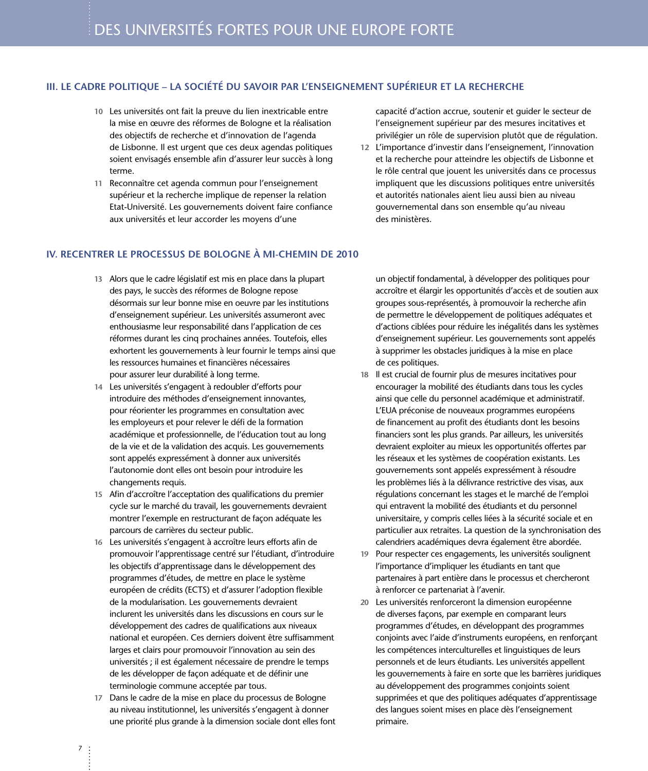#### **III. LE CADRE POLITIQUE – LA SOCIÉTÉ DU SAVOIR PAR L'ENSEIGNEMENT SUPÉRIEUR ET LA RECHERCHE**

- **10** Les universités ont fait la preuve du lien inextricable entre la mise en œuvre des réformes de Bologne et la réalisation des objectifs de recherche et d'innovation de l'agenda de Lisbonne. Il est urgent que ces deux agendas politiques soient envisagés ensemble afin d'assurer leur succès à long terme.
- **11** Reconnaître cet agenda commun pour l'enseignement supérieur et la recherche implique de repenser la relation Etat-Université. Les gouvernements doivent faire confiance aux universités et leur accorder les moyens d'une

**IV. RECENTRER LE PROCESSUS DE BOLOGNE À MI-CHEMIN DE 2010**

- **13** Alors que le cadre législatif est mis en place dans la plupart des pays, le succès des réformes de Bologne repose désormais sur leur bonne mise en oeuvre par les institutions d'enseignement supérieur. Les universités assumeront avec enthousiasme leur responsabilité dans l'application de ces réformes durant les cinq prochaines années. Toutefois, elles exhortent les gouvernements à leur fournir le temps ainsi que les ressources humaines et financières nécessaires pour assurer leur durabilité à long terme.
- **14** Les universités s'engagent à redoubler d'efforts pour introduire des méthodes d'enseignement innovantes, pour réorienter les programmes en consultation avec les employeurs et pour relever le défi de la formation académique et professionnelle, de l'éducation tout au long de la vie et de la validation des acquis. Les gouvernements sont appelés expressément à donner aux universités l'autonomie dont elles ont besoin pour introduire les changements requis.
- **15** Afin d'accroître l'acceptation des qualifications du premier cycle sur le marché du travail, les gouvernements devraient montrer l'exemple en restructurant de façon adéquate les parcours de carrières du secteur public.
- **16** Les universités s'engagent à accroître leurs efforts afin de promouvoir l'apprentissage centré sur l'étudiant, d'introduire les objectifs d'apprentissage dans le développement des programmes d'études, de mettre en place le système européen de crédits (ECTS) et d'assurer l'adoption flexible de la modularisation. Les gouvernements devraient inclurent les universités dans les discussions en cours sur le développement des cadres de qualifications aux niveaux national et européen. Ces derniers doivent être suffisamment larges et clairs pour promouvoir l'innovation au sein des universités ; il est également nécessaire de prendre le temps de les développer de façon adéquate et de définir une terminologie commune acceptée par tous.
- **17** Dans le cadre de la mise en place du processus de Bologne au niveau institutionnel, les universités s'engagent à donner une priorité plus grande à la dimension sociale dont elles font

capacité d'action accrue, soutenir et guider le secteur de l'enseignement supérieur par des mesures incitatives et privilégier un rôle de supervision plutôt que de régulation.

**12** L'importance d'investir dans l'enseignement, l'innovation et la recherche pour atteindre les objectifs de Lisbonne et le rôle central que jouent les universités dans ce processus impliquent que les discussions politiques entre universités et autorités nationales aient lieu aussi bien au niveau gouvernemental dans son ensemble qu'au niveau des ministères.

un objectif fondamental, à développer des politiques pour accroître et élargir les opportunités d'accès et de soutien aux groupes sous-représentés, à promouvoir la recherche afin de permettre le développement de politiques adéquates et d'actions ciblées pour réduire les inégalités dans les systèmes d'enseignement supérieur. Les gouvernements sont appelés à supprimer les obstacles juridiques à la mise en place de ces politiques.

- **18** Il est crucial de fournir plus de mesures incitatives pour encourager la mobilité des étudiants dans tous les cycles ainsi que celle du personnel académique et administratif. L'EUA préconise de nouveaux programmes européens de financement au profit des étudiants dont les besoins financiers sont les plus grands. Par ailleurs, les universités devraient exploiter au mieux les opportunités offertes par les réseaux et les systèmes de coopération existants. Les gouvernements sont appelés expressément à résoudre les problèmes liés à la délivrance restrictive des visas, aux régulations concernant les stages et le marché de l'emploi qui entravent la mobilité des étudiants et du personnel universitaire, y compris celles liées à la sécurité sociale et en particulier aux retraites. La question de la synchronisation des calendriers académiques devra également être abordée.
- **19** Pour respecter ces engagements, les universités soulignent l'importance d'impliquer les étudiants en tant que partenaires à part entière dans le processus et chercheront à renforcer ce partenariat à l'avenir.
- **20** Les universités renforceront la dimension européenne de diverses façons, par exemple en comparant leurs programmes d'études, en développant des programmes conjoints avec l'aide d'instruments européens, en renforçant les compétences interculturelles et linguistiques de leurs personnels et de leurs étudiants. Les universités appellent les gouvernements à faire en sorte que les barrières juridiques au développement des programmes conjoints soient supprimées et que des politiques adéquates d'apprentissage des langues soient mises en place dès l'enseignement primaire.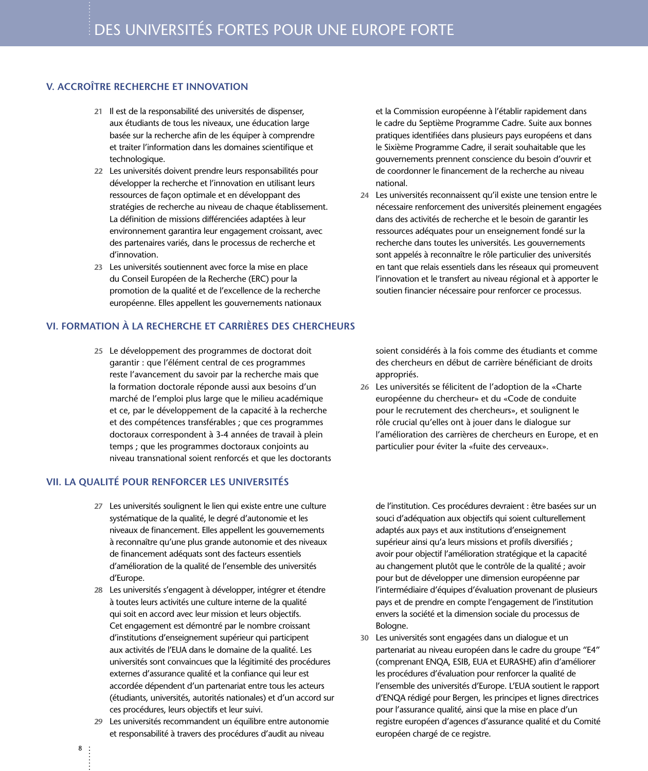#### **V. ACCROÎTRE RECHERCHE ET INNOVATION**

- **21** Il est de la responsabilité des universités de dispenser, aux étudiants de tous les niveaux, une éducation large basée sur la recherche afin de les équiper à comprendre et traiter l'information dans les domaines scientifique et technologique.
- **22** Les universités doivent prendre leurs responsabilités pour développer la recherche et l'innovation en utilisant leurs ressources de façon optimale et en développant des stratégies de recherche au niveau de chaque établissement. La définition de missions différenciées adaptées à leur environnement garantira leur engagement croissant, avec des partenaires variés, dans le processus de recherche et d'innovation.
- **23** Les universités soutiennent avec force la mise en place du Conseil Européen de la Recherche (ERC) pour la promotion de la qualité et de l'excellence de la recherche européenne. Elles appellent les gouvernements nationaux

#### **VI. FORMATION À LA RECHERCHE ET CARRIÈRES DES CHERCHEURS**

**25** Le développement des programmes de doctorat doit garantir : que l'élément central de ces programmes reste l'avancement du savoir par la recherche mais que la formation doctorale réponde aussi aux besoins d'un marché de l'emploi plus large que le milieu académique et ce, par le développement de la capacité à la recherche et des compétences transférables ; que ces programmes doctoraux correspondent à 3-4 années de travail à plein temps ; que les programmes doctoraux conjoints au niveau transnational soient renforcés et que les doctorants

#### **VII. LA QUALITÉ POUR RENFORCER LES UNIVERSITÉS**

- **27** Les universités soulignent le lien qui existe entre une culture systématique de la qualité, le degré d'autonomie et les niveaux de financement. Elles appellent les gouvernements à reconnaître qu'une plus grande autonomie et des niveaux de financement adéquats sont des facteurs essentiels d'amélioration de la qualité de l'ensemble des universités d'Europe.
- **28** Les universités s'engagent à développer, intégrer et étendre à toutes leurs activités une culture interne de la qualité qui soit en accord avec leur mission et leurs objectifs. Cet engagement est démontré par le nombre croissant d'institutions d'enseignement supérieur qui participent aux activités de l'EUA dans le domaine de la qualité. Les universités sont convaincues que la légitimité des procédures externes d'assurance qualité et la confiance qui leur est accordée dépendent d'un partenariat entre tous les acteurs (étudiants, universités, autorités nationales) et d'un accord sur ces procédures, leurs objectifs et leur suivi.
- **29** Les universités recommandent un équilibre entre autonomie et responsabilité à travers des procédures d'audit au niveau

et la Commission européenne à l'établir rapidement dans le cadre du Septième Programme Cadre. Suite aux bonnes pratiques identifiées dans plusieurs pays européens et dans le Sixième Programme Cadre, il serait souhaitable que les gouvernements prennent conscience du besoin d'ouvrir et de coordonner le financement de la recherche au niveau national.

**24** Les universités reconnaissent qu'il existe une tension entre le nécessaire renforcement des universités pleinement engagées dans des activités de recherche et le besoin de garantir les ressources adéquates pour un enseignement fondé sur la recherche dans toutes les universités. Les gouvernements sont appelés à reconnaître le rôle particulier des universités en tant que relais essentiels dans les réseaux qui promeuvent l'innovation et le transfert au niveau régional et à apporter le soutien financier nécessaire pour renforcer ce processus.

soient considérés à la fois comme des étudiants et comme des chercheurs en début de carrière bénéficiant de droits appropriés.

**26** Les universités se félicitent de l'adoption de la «Charte européenne du chercheur» et du «Code de conduite pour le recrutement des chercheurs», et soulignent le rôle crucial qu'elles ont à jouer dans le dialogue sur l'amélioration des carrières de chercheurs en Europe, et en particulier pour éviter la «fuite des cerveaux».

de l'institution. Ces procédures devraient : être basées sur un souci d'adéquation aux objectifs qui soient culturellement adaptés aux pays et aux institutions d'enseignement supérieur ainsi qu'a leurs missions et profils diversifiés ; avoir pour objectif l'amélioration stratégique et la capacité au changement plutôt que le contrôle de la qualité ; avoir pour but de développer une dimension européenne par l'intermédiaire d'équipes d'évaluation provenant de plusieurs pays et de prendre en compte l'engagement de l'institution envers la société et la dimension sociale du processus de Bologne.

**30** Les universités sont engagées dans un dialogue et un partenariat au niveau européen dans le cadre du groupe "E4" (comprenant ENQA, ESIB, EUA et EURASHE) afin d'améliorer les procédures d'évaluation pour renforcer la qualité de l'ensemble des universités d'Europe. L'EUA soutient le rapport d'ENQA rédigé pour Bergen, les principes et lignes directrices pour l'assurance qualité, ainsi que la mise en place d'un registre européen d'agences d'assurance qualité et du Comité européen chargé de ce registre.

8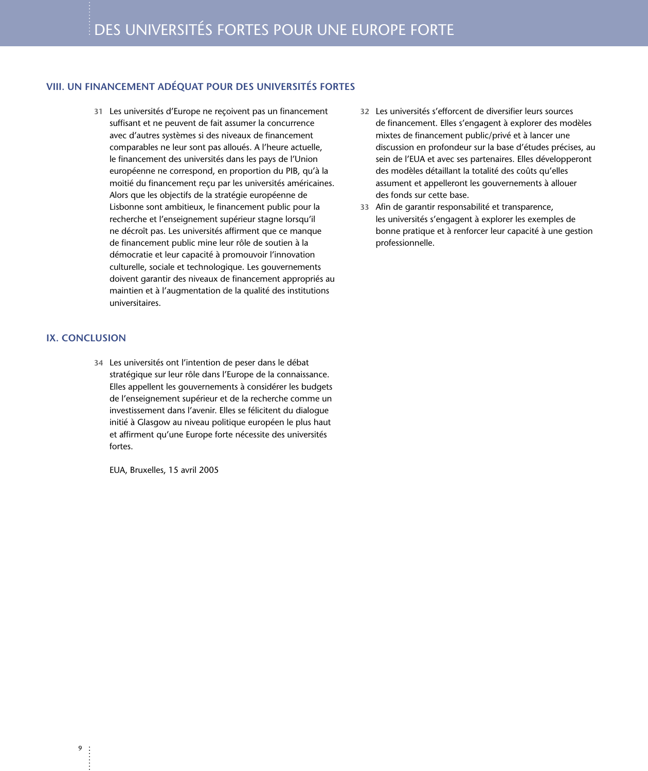#### **VIII. UN FINANCEMENT ADÉQUAT POUR DES UNIVERSITÉS FORTES**

**31** Les universités d'Europe ne reçoivent pas un financement suffisant et ne peuvent de fait assumer la concurrence avec d'autres systèmes si des niveaux de financement comparables ne leur sont pas alloués. A l'heure actuelle, le financement des universités dans les pays de l'Union européenne ne correspond, en proportion du PIB, qu'à la moitié du financement reçu par les universités américaines. Alors que les objectifs de la stratégie européenne de Lisbonne sont ambitieux, le financement public pour la recherche et l'enseignement supérieur stagne lorsqu'il ne décroît pas. Les universités affirment que ce manque de financement public mine leur rôle de soutien à la démocratie et leur capacité à promouvoir l'innovation culturelle, sociale et technologique. Les gouvernements doivent garantir des niveaux de financement appropriés au maintien et à l'augmentation de la qualité des institutions universitaires.

#### **IX. CONCLUSION**

 $\overline{9}$ 

**34** Les universités ont l'intention de peser dans le débat stratégique sur leur rôle dans l'Europe de la connaissance. Elles appellent les gouvernements à considérer les budgets de l'enseignement supérieur et de la recherche comme un investissement dans l'avenir. Elles se félicitent du dialogue initié à Glasgow au niveau politique européen le plus haut et affirment qu'une Europe forte nécessite des universités fortes.

EUA, Bruxelles, 15 avril 2005

- **32** Les universités s'efforcent de diversifier leurs sources de financement. Elles s'engagent à explorer des modèles mixtes de financement public/privé et à lancer une discussion en profondeur sur la base d'études précises, au sein de l'EUA et avec ses partenaires. Elles développeront des modèles détaillant la totalité des coûts qu'elles assument et appelleront les gouvernements à allouer des fonds sur cette base.
- **33** Afin de garantir responsabilité et transparence, les universités s'engagent à explorer les exemples de bonne pratique et à renforcer leur capacité à une gestion professionnelle.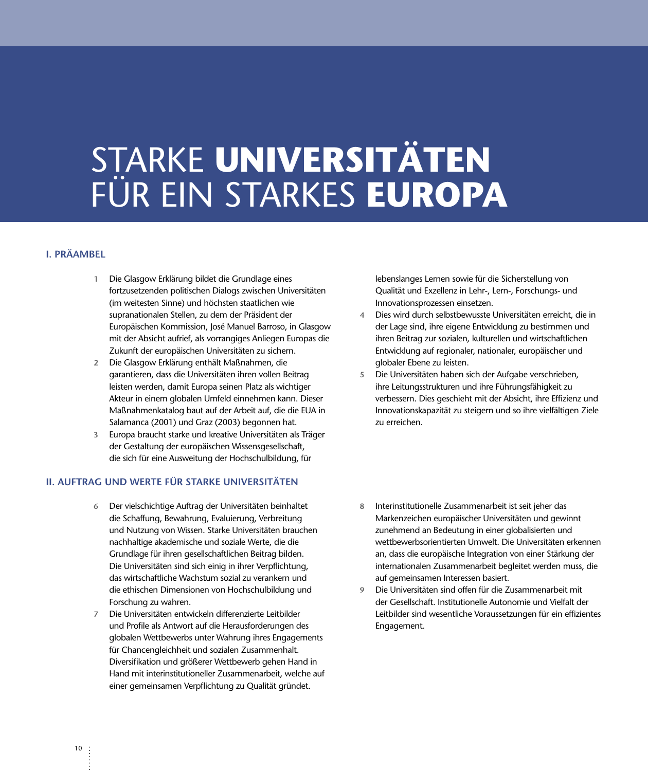# S<u>T</u>ARKE UNIVERSITÄTEN FÜR EIN STARKES EUROPA

#### **I. PRÄAMBEL**

- **1** Die Glasgow Erklärung bildet die Grundlage eines fortzusetzenden politischen Dialogs zwischen Universitäten (im weitesten Sinne) und höchsten staatlichen wie supranationalen Stellen, zu dem der Präsident der Europäischen Kommission, José Manuel Barroso, in Glasgow mit der Absicht aufrief, als vorrangiges Anliegen Europas die Zukunft der europäischen Universitäten zu sichern.
- **2** Die Glasgow Erklärung enthält Maßnahmen, die garantieren, dass die Universitäten ihren vollen Beitrag leisten werden, damit Europa seinen Platz als wichtiger Akteur in einem globalen Umfeld einnehmen kann. Dieser Maßnahmenkatalog baut auf der Arbeit auf, die die EUA in Salamanca (2001) und Graz (2003) begonnen hat.
- **3** Europa braucht starke und kreative Universitäten als Träger der Gestaltung der europäischen Wissensgesellschaft, die sich für eine Ausweitung der Hochschulbildung, für

#### **II. AUFTRAG UND WERTE FÜR STARKE UNIVERSITÄTEN**

- **6** Der vielschichtige Auftrag der Universitäten beinhaltet die Schaffung, Bewahrung, Evaluierung, Verbreitung und Nutzung von Wissen. Starke Universitäten brauchen nachhaltige akademische und soziale Werte, die die Grundlage für ihren gesellschaftlichen Beitrag bilden. Die Universitäten sind sich einig in ihrer Verpflichtung, das wirtschaftliche Wachstum sozial zu verankern und die ethischen Dimensionen von Hochschulbildung und Forschung zu wahren.
- **7** Die Universitäten entwickeln differenzierte Leitbilder und Profile als Antwort auf die Herausforderungen des globalen Wettbewerbs unter Wahrung ihres Engagements für Chancengleichheit und sozialen Zusammenhalt. Diversifikation und größerer Wettbewerb gehen Hand in Hand mit interinstitutioneller Zusammenarbeit, welche auf einer gemeinsamen Verpflichtung zu Qualität gründet.

lebenslanges Lernen sowie für die Sicherstellung von Qualität und Exzellenz in Lehr-, Lern-, Forschungs- und Innovationsprozessen einsetzen.

- **4** Dies wird durch selbstbewusste Universitäten erreicht, die in der Lage sind, ihre eigene Entwicklung zu bestimmen und ihren Beitrag zur sozialen, kulturellen und wirtschaftlichen Entwicklung auf regionaler, nationaler, europäischer und globaler Ebene zu leisten.
- **5** Die Universitäten haben sich der Aufgabe verschrieben, ihre Leitungsstrukturen und ihre Führungsfähigkeit zu verbessern. Dies geschieht mit der Absicht, ihre Effizienz und Innovationskapazität zu steigern und so ihre vielfältigen Ziele zu erreichen.
- **8** Interinstitutionelle Zusammenarbeit ist seit jeher das Markenzeichen europäischer Universitäten und gewinnt zunehmend an Bedeutung in einer globalisierten und wettbewerbsorientierten Umwelt. Die Universitäten erkennen an, dass die europäische Integration von einer Stärkung der internationalen Zusammenarbeit begleitet werden muss, die auf gemeinsamen Interessen basiert.
- **9** Die Universitäten sind offen für die Zusammenarbeit mit der Gesellschaft. Institutionelle Autonomie und Vielfalt der Leitbilder sind wesentliche Voraussetzungen für ein effizientes Engagement.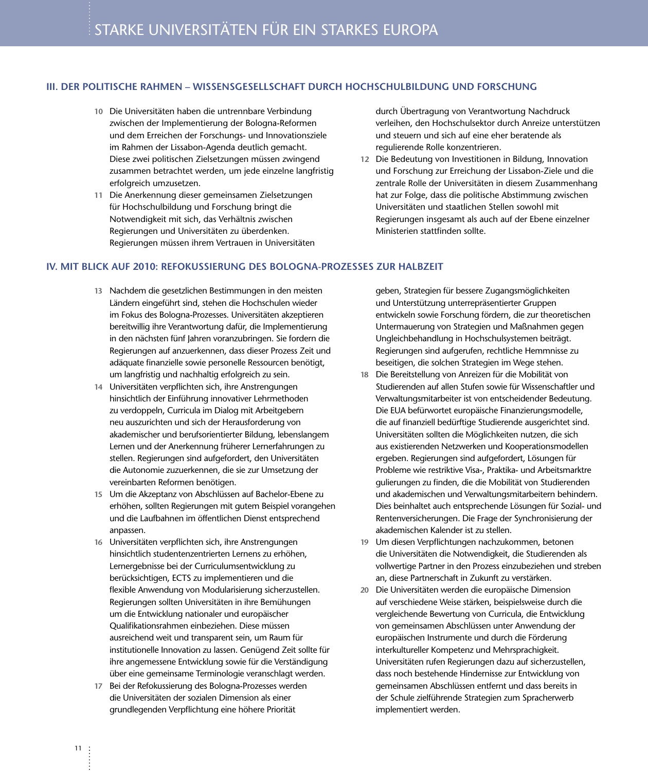#### **III. DER POLITISCHE RAHMEN – WISSENSGESELLSCHAFT DURCH HOCHSCHULBILDUNG UND FORSCHUNG**

- **10** Die Universitäten haben die untrennbare Verbindung zwischen der Implementierung der Bologna-Reformen und dem Erreichen der Forschungs- und Innovationsziele im Rahmen der Lissabon-Agenda deutlich gemacht. Diese zwei politischen Zielsetzungen müssen zwingend zusammen betrachtet werden, um jede einzelne langfristig erfolgreich umzusetzen.
- **11** Die Anerkennung dieser gemeinsamen Zielsetzungen für Hochschulbildung und Forschung bringt die Notwendigkeit mit sich, das Verhältnis zwischen Regierungen und Universitäten zu überdenken. Regierungen müssen ihrem Vertrauen in Universitäten

durch Übertragung von Verantwortung Nachdruck verleihen, den Hochschulsektor durch Anreize unterstützen und steuern und sich auf eine eher beratende als regulierende Rolle konzentrieren.

**12** Die Bedeutung von Investitionen in Bildung, Innovation und Forschung zur Erreichung der Lissabon-Ziele und die zentrale Rolle der Universitäten in diesem Zusammenhang hat zur Folge, dass die politische Abstimmung zwischen Universitäten und staatlichen Stellen sowohl mit Regierungen insgesamt als auch auf der Ebene einzelner Ministerien stattfinden sollte.

#### **IV. MIT BLICK AUF 2010: REFOKUSSIERUNG DES BOLOGNA-PROZESSES ZUR HALBZEIT**

- **13** Nachdem die gesetzlichen Bestimmungen in den meisten Ländern eingeführt sind, stehen die Hochschulen wieder im Fokus des Bologna-Prozesses. Universitäten akzeptieren bereitwillig ihre Verantwortung dafür, die Implementierung in den nächsten fünf Jahren voranzubringen. Sie fordern die Regierungen auf anzuerkennen, dass dieser Prozess Zeit und adäquate finanzielle sowie personelle Ressourcen benötigt, um langfristig und nachhaltig erfolgreich zu sein.
- **14** Universitäten verpflichten sich, ihre Anstrengungen hinsichtlich der Einführung innovativer Lehrmethoden zu verdoppeln, Curricula im Dialog mit Arbeitgebern neu auszurichten und sich der Herausforderung von akademischer und berufsorientierter Bildung, lebenslangem Lernen und der Anerkennung früherer Lernerfahrungen zu stellen. Regierungen sind aufgefordert, den Universitäten die Autonomie zuzuerkennen, die sie zur Umsetzung der vereinbarten Reformen benötigen.
- **15** Um die Akzeptanz von Abschlüssen auf Bachelor-Ebene zu erhöhen, sollten Regierungen mit gutem Beispiel vorangehen und die Laufbahnen im öffentlichen Dienst entsprechend anpassen.
- **16** Universitäten verpflichten sich, ihre Anstrengungen hinsichtlich studentenzentrierten Lernens zu erhöhen, Lernergebnisse bei der Curriculumsentwicklung zu berücksichtigen, ECTS zu implementieren und die flexible Anwendung von Modularisierung sicherzustellen. Regierungen sollten Universitäten in ihre Bemühungen um die Entwicklung nationaler und europäischer Qualifikationsrahmen einbeziehen. Diese müssen ausreichend weit und transparent sein, um Raum für institutionelle Innovation zu lassen. Genügend Zeit sollte für ihre angemessene Entwicklung sowie für die Verständigung über eine gemeinsame Terminologie veranschlagt werden.
- **17** Bei der Refokussierung des Bologna-Prozesses werden die Universitäten der sozialen Dimension als einer grundlegenden Verpflichtung eine höhere Priorität

geben, Strategien für bessere Zugangsmöglichkeiten und Unterstützung unterrepräsentierter Gruppen entwickeln sowie Forschung fördern, die zur theoretischen Untermauerung von Strategien und Maßnahmen gegen Ungleichbehandlung in Hochschulsystemen beiträgt. Regierungen sind aufgerufen, rechtliche Hemmnisse zu beseitigen, die solchen Strategien im Wege stehen.

- **18** Die Bereitstellung von Anreizen für die Mobilität von Studierenden auf allen Stufen sowie für Wissenschaftler und Verwaltungsmitarbeiter ist von entscheidender Bedeutung. Die EUA befürwortet europäische Finanzierungsmodelle, die auf finanziell bedürftige Studierende ausgerichtet sind. Universitäten sollten die Möglichkeiten nutzen, die sich aus existierenden Netzwerken und Kooperationsmodellen ergeben. Regierungen sind aufgefordert, Lösungen für Probleme wie restriktive Visa-, Praktika- und Arbeitsmarktre gulierungen zu finden, die die Mobilität von Studierenden und akademischen und Verwaltungsmitarbeitern behindern. Dies beinhaltet auch entsprechende Lösungen für Sozial- und Rentenversicherungen. Die Frage der Synchronisierung der akademischen Kalender ist zu stellen.
- **19** Um diesen Verpflichtungen nachzukommen, betonen die Universitäten die Notwendigkeit, die Studierenden als vollwertige Partner in den Prozess einzubeziehen und streben an, diese Partnerschaft in Zukunft zu verstärken.
- **20** Die Universitäten werden die europäische Dimension auf verschiedene Weise stärken, beispielsweise durch die vergleichende Bewertung von Curricula, die Entwicklung von gemeinsamen Abschlüssen unter Anwendung der europäischen Instrumente und durch die Förderung interkultureller Kompetenz und Mehrsprachigkeit. Universitäten rufen Regierungen dazu auf sicherzustellen, dass noch bestehende Hindernisse zur Entwicklung von gemeinsamen Abschlüssen entfernt und dass bereits in der Schule zielführende Strategien zum Spracherwerb implementiert werden.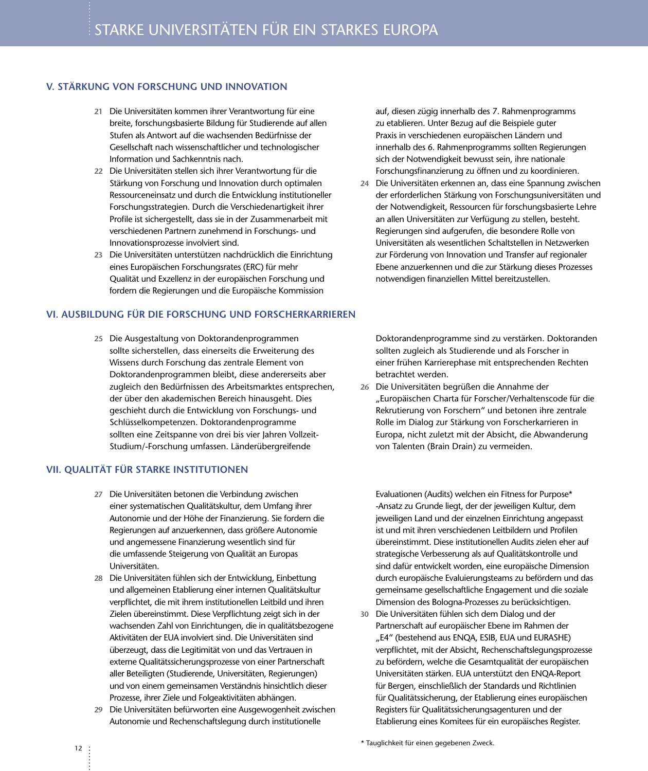#### **V. STÄRKUNG VON FORSCHUNG UND INNOVATION**

- **21** Die Universitäten kommen ihrer Verantwortung für eine breite, forschungsbasierte Bildung für Studierende auf allen Stufen als Antwort auf die wachsenden Bedürfnisse der Gesellschaft nach wissenschaftlicher und technologischer Information und Sachkenntnis nach.
- **22** Die Universitäten stellen sich ihrer Verantwortung für die Stärkung von Forschung und Innovation durch optimalen Ressourceneinsatz und durch die Entwicklung institutioneller Forschungsstrategien. Durch die Verschiedenartigkeit ihrer Profile ist sichergestellt, dass sie in der Zusammenarbeit mit verschiedenen Partnern zunehmend in Forschungs- und Innovationsprozesse involviert sind.
- **23** Die Universitäten unterstützen nachdrücklich die Einrichtung eines Europäischen Forschungsrates (ERC) für mehr Qualität und Exzellenz in der europäischen Forschung und fordern die Regierungen und die Europäische Kommission

#### **VI. AUSBILDUNG FÜR DIE FORSCHUNG UND FORSCHERKARRIEREN**

**25** Die Ausgestaltung von Doktorandenprogrammen sollte sicherstellen, dass einerseits die Erweiterung des Wissens durch Forschung das zentrale Element von Doktorandenprogrammen bleibt, diese andererseits aber zugleich den Bedürfnissen des Arbeitsmarktes entsprechen, der über den akademischen Bereich hinausgeht. Dies geschieht durch die Entwicklung von Forschungs- und Schlüsselkompetenzen. Doktorandenprogramme sollten eine Zeitspanne von drei bis vier Jahren Vollzeit-Studium/-Forschung umfassen. Länderübergreifende

#### **VII. QUALITÄT FÜR STARKE INSTITUTIONEN**

- **27** Die Universitäten betonen die Verbindung zwischen einer systematischen Qualitätskultur, dem Umfang ihrer Autonomie und der Höhe der Finanzierung. Sie fordern die Regierungen auf anzuerkennen, dass größere Autonomie und angemessene Finanzierung wesentlich sind für die umfassende Steigerung von Qualität an Europas Universitäten.
- **28** Die Universitäten fühlen sich der Entwicklung, Einbettung und allgemeinen Etablierung einer internen Qualitätskultur verpflichtet, die mit ihrem institutionellen Leitbild und ihren Zielen übereinstimmt. Diese Verpflichtung zeigt sich in der wachsenden Zahl von Einrichtungen, die in qualitätsbezogene Aktivitäten der EUA involviert sind. Die Universitäten sind überzeugt, dass die Legitimität von und das Vertrauen in externe Qualitätssicherungsprozesse von einer Partnerschaft aller Beteiligten (Studierende, Universitäten, Regierungen) und von einem gemeinsamen Verständnis hinsichtlich dieser Prozesse, ihrer Ziele und Folgeaktivitäten abhängen.
- **29** Die Universitäten befürworten eine Ausgewogenheit zwischen Autonomie und Rechenschaftslegung durch institutionelle

auf, diesen zügig innerhalb des 7. Rahmenprogramms zu etablieren. Unter Bezug auf die Beispiele guter Praxis in verschiedenen europäischen Ländern und innerhalb des 6. Rahmenprogramms sollten Regierungen sich der Notwendigkeit bewusst sein, ihre nationale Forschungsfinanzierung zu öffnen und zu koordinieren.

**24** Die Universitäten erkennen an, dass eine Spannung zwischen der erforderlichen Stärkung von Forschungsuniversitäten und der Notwendigkeit, Ressourcen für forschungsbasierte Lehre an allen Universitäten zur Verfügung zu stellen, besteht. Regierungen sind aufgerufen, die besondere Rolle von Universitäten als wesentlichen Schaltstellen in Netzwerken zur Förderung von Innovation und Transfer auf regionaler Ebene anzuerkennen und die zur Stärkung dieses Prozesses notwendigen finanziellen Mittel bereitzustellen.

Doktorandenprogramme sind zu verstärken. Doktoranden sollten zugleich als Studierende und als Forscher in einer frühen Karrierephase mit entsprechenden Rechten betrachtet werden.

**26** Die Universitäten begrüßen die Annahme der "Europäischen Charta für Forscher/Verhaltenscode für die Rekrutierung von Forschern" und betonen ihre zentrale Rolle im Dialog zur Stärkung von Forscherkarrieren in Europa, nicht zuletzt mit der Absicht, die Abwanderung von Talenten (Brain Drain) zu vermeiden.

Evaluationen (Audits) welchen ein Fitness for Purpose\* -Ansatz zu Grunde liegt, der der jeweiligen Kultur, dem jeweiligen Land und der einzelnen Einrichtung angepasst ist und mit ihren verschiedenen Leitbildern und Profilen übereinstimmt. Diese institutionellen Audits zielen eher auf strategische Verbesserung als auf Qualitätskontrolle und sind dafür entwickelt worden, eine europäische Dimension durch europäische Evaluierungsteams zu befördern und das gemeinsame gesellschaftliche Engagement und die soziale Dimension des Bologna-Prozesses zu berücksichtigen.

**30** Die Universitäten fühlen sich dem Dialog und der Partnerschaft auf europäischer Ebene im Rahmen der "E4" (bestehend aus ENQA, ESIB, EUA und EURASHE) verpflichtet, mit der Absicht, Rechenschaftslegungsprozesse zu befördern, welche die Gesamtqualität der europäischen Universitäten stärken. EUA unterstützt den ENQA-Report für Bergen, einschließlich der Standards und Richtlinien für Qualitätssicherung, der Etablierung eines europäischen Registers für Qualitätssicherungsagenturen und der Etablierung eines Komitees für ein europäisches Register.

\* Tauglichkeit für einen gegebenen Zweck.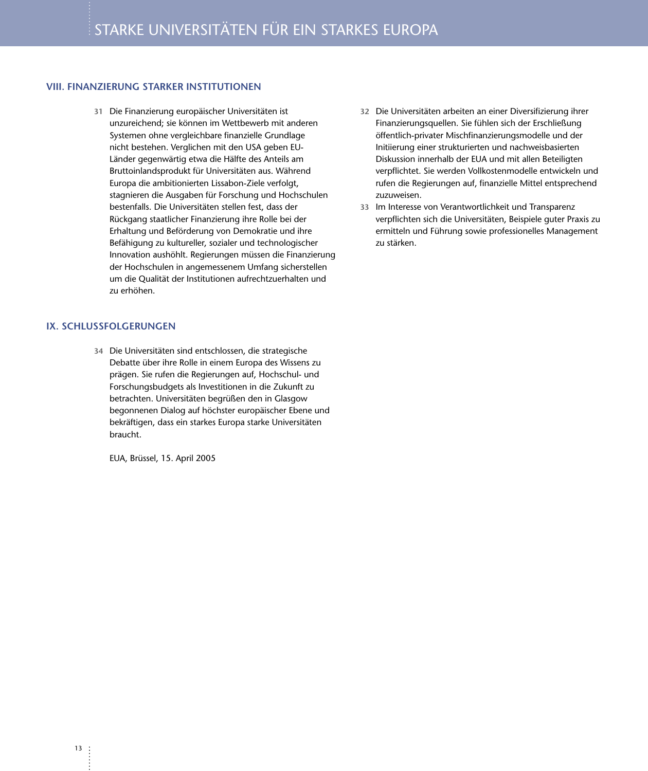#### **VIII. FINANZIERUNG STARKER INSTITUTIONEN**

**31** Die Finanzierung europäischer Universitäten ist unzureichend; sie können im Wettbewerb mit anderen Systemen ohne vergleichbare finanzielle Grundlage nicht bestehen. Verglichen mit den USA geben EU-Länder gegenwärtig etwa die Hälfte des Anteils am Bruttoinlandsprodukt für Universitäten aus. Während Europa die ambitionierten Lissabon-Ziele verfolgt, stagnieren die Ausgaben für Forschung und Hochschulen bestenfalls. Die Universitäten stellen fest, dass der Rückgang staatlicher Finanzierung ihre Rolle bei der Erhaltung und Beförderung von Demokratie und ihre Befähigung zu kultureller, sozialer und technologischer Innovation aushöhlt. Regierungen müssen die Finanzierung der Hochschulen in angemessenem Umfang sicherstellen um die Qualität der Institutionen aufrechtzuerhalten und zu erhöhen.

#### **IX. SCHLUSSFOLGERUNGEN**

**34** Die Universitäten sind entschlossen, die strategische Debatte über ihre Rolle in einem Europa des Wissens zu prägen. Sie rufen die Regierungen auf, Hochschul- und Forschungsbudgets als Investitionen in die Zukunft zu betrachten. Universitäten begrüßen den in Glasgow begonnenen Dialog auf höchster europäischer Ebene und bekräftigen, dass ein starkes Europa starke Universitäten braucht.

EUA, Brüssel, 15. April 2005

- **32** Die Universitäten arbeiten an einer Diversifizierung ihrer Finanzierungsquellen. Sie fühlen sich der Erschließung öffentlich-privater Mischfinanzierungsmodelle und der Initiierung einer strukturierten und nachweisbasierten Diskussion innerhalb der EUA und mit allen Beteiligten verpflichtet. Sie werden Vollkostenmodelle entwickeln und rufen die Regierungen auf, finanzielle Mittel entsprechend zuzuweisen.
- **33** Im Interesse von Verantwortlichkeit und Transparenz verpflichten sich die Universitäten, Beispiele guter Praxis zu ermitteln und Führung sowie professionelles Management zu stärken.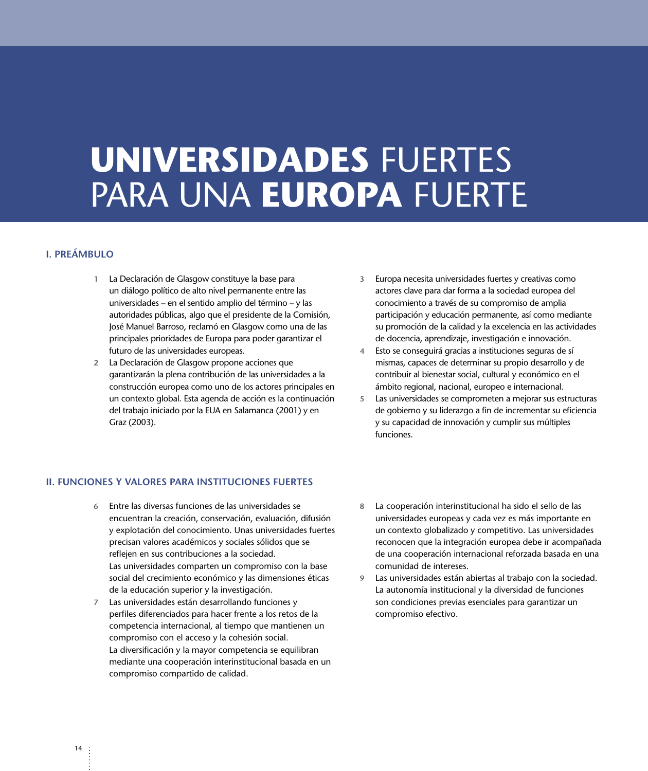# **UNIVERSIDADES** FUERTES PARA UNA **EUROPA** FUERTE

#### **I. PREÁMBULO**

- **1** La Declaración de Glasgow constituye la base para un diálogo político de alto nivel permanente entre las universidades – en el sentido amplio del término – y las autoridades públicas, algo que el presidente de la Comisión, José Manuel Barroso, reclamó en Glasgow como una de las principales prioridades de Europa para poder garantizar el futuro de las universidades europeas.
- **2** La Declaración de Glasgow propone acciones que garantizarán la plena contribución de las universidades a la construcción europea como uno de los actores principales en un contexto global. Esta agenda de acción es la continuación del trabajo iniciado por la EUA en Salamanca (2001) y en Graz (2003).
- **3** Europa necesita universidades fuertes y creativas como actores clave para dar forma a la sociedad europea del conocimiento a través de su compromiso de amplia participación y educación permanente, así como mediante su promoción de la calidad y la excelencia en las actividades de docencia, aprendizaje, investigación e innovación.
- **4** Esto se conseguirá gracias a instituciones seguras de sí mismas, capaces de determinar su propio desarrollo y de contribuir al bienestar social, cultural y económico en el ámbito regional, nacional, europeo e internacional.
- **5** Las universidades se comprometen a mejorar sus estructuras de gobierno y su liderazgo a fin de incrementar su eficiencia y su capacidad de innovación y cumplir sus múltiples funciones.

#### **II. FUNCIONES Y VALORES PARA INSTITUCIONES FUERTES**

- **6** Entre las diversas funciones de las universidades se encuentran la creación, conservación, evaluación, difusión y explotación del conocimiento. Unas universidades fuertes precisan valores académicos y sociales sólidos que se reflejen en sus contribuciones a la sociedad. Las universidades comparten un compromiso con la base social del crecimiento económico y las dimensiones éticas de la educación superior y la investigación.
- **7** Las universidades están desarrollando funciones y perfiles diferenciados para hacer frente a los retos de la competencia internacional, al tiempo que mantienen un compromiso con el acceso y la cohesión social. La diversificación y la mayor competencia se equilibran mediante una cooperación interinstitucional basada en un compromiso compartido de calidad.
- **8** La cooperación interinstitucional ha sido el sello de las universidades europeas y cada vez es más importante en un contexto globalizado y competitivo. Las universidades reconocen que la integración europea debe ir acompañada de una cooperación internacional reforzada basada en una comunidad de intereses.
- **9** Las universidades están abiertas al trabajo con la sociedad. La autonomía institucional y la diversidad de funciones son condiciones previas esenciales para garantizar un compromiso efectivo.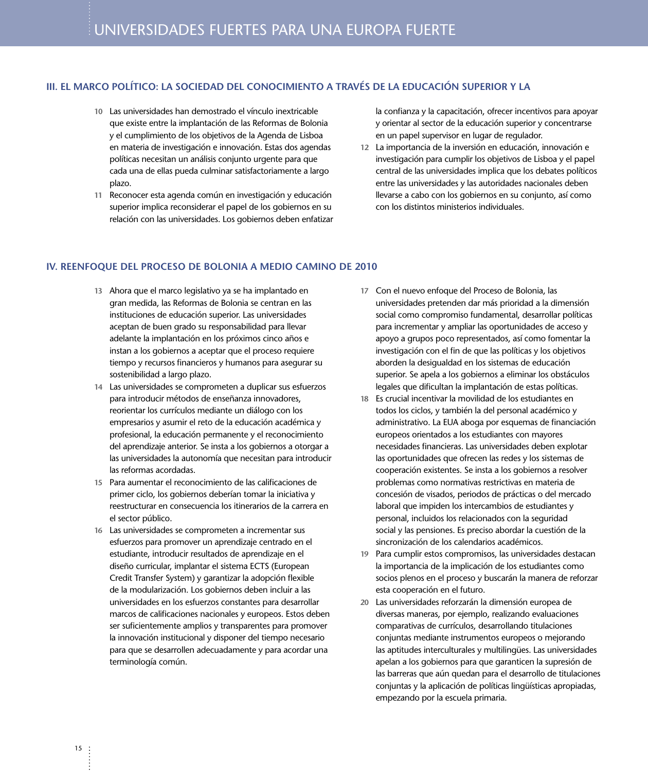#### **III. EL MARCO POLÍTICO: LA SOCIEDAD DEL CONOCIMIENTO A TRAVÉS DE LA EDUCACIÓN SUPERIOR Y LA**

- **10** Las universidades han demostrado el vínculo inextricable que existe entre la implantación de las Reformas de Bolonia y el cumplimiento de los objetivos de la Agenda de Lisboa en materia de investigación e innovación. Estas dos agendas políticas necesitan un análisis conjunto urgente para que cada una de ellas pueda culminar satisfactoriamente a largo plazo.
- **11** Reconocer esta agenda común en investigación y educación superior implica reconsiderar el papel de los gobiernos en su relación con las universidades. Los gobiernos deben enfatizar

la confianza y la capacitación, ofrecer incentivos para apoyar y orientar al sector de la educación superior y concentrarse en un papel supervisor en lugar de regulador.

**12** La importancia de la inversión en educación, innovación e investigación para cumplir los objetivos de Lisboa y el papel central de las universidades implica que los debates políticos entre las universidades y las autoridades nacionales deben llevarse a cabo con los gobiernos en su conjunto, así como con los distintos ministerios individuales.

#### **IV. REENFOQUE DEL PROCESO DE BOLONIA A MEDIO CAMINO DE 2010**

- **13** Ahora que el marco legislativo ya se ha implantado en gran medida, las Reformas de Bolonia se centran en las instituciones de educación superior. Las universidades aceptan de buen grado su responsabilidad para llevar adelante la implantación en los próximos cinco años e instan a los gobiernos a aceptar que el proceso requiere tiempo y recursos financieros y humanos para asegurar su sostenibilidad a largo plazo.
- **14** Las universidades se comprometen a duplicar sus esfuerzos para introducir métodos de enseñanza innovadores, reorientar los currículos mediante un diálogo con los empresarios y asumir el reto de la educación académica y profesional, la educación permanente y el reconocimiento del aprendizaje anterior. Se insta a los gobiernos a otorgar a las universidades la autonomía que necesitan para introducir las reformas acordadas.
- **15** Para aumentar el reconocimiento de las calificaciones de primer ciclo, los gobiernos deberían tomar la iniciativa y reestructurar en consecuencia los itinerarios de la carrera en el sector público.
- **16** Las universidades se comprometen a incrementar sus esfuerzos para promover un aprendizaje centrado en el estudiante, introducir resultados de aprendizaje en el diseño curricular, implantar el sistema ECTS (European Credit Transfer System) y garantizar la adopción flexible de la modularización. Los gobiernos deben incluir a las universidades en los esfuerzos constantes para desarrollar marcos de calificaciones nacionales y europeos. Estos deben ser suficientemente amplios y transparentes para promover la innovación institucional y disponer del tiempo necesario para que se desarrollen adecuadamente y para acordar una terminología común.
- **17** Con el nuevo enfoque del Proceso de Bolonia, las universidades pretenden dar más prioridad a la dimensión social como compromiso fundamental, desarrollar políticas para incrementar y ampliar las oportunidades de acceso y apoyo a grupos poco representados, así como fomentar la investigación con el fin de que las políticas y los objetivos aborden la desigualdad en los sistemas de educación superior. Se apela a los gobiernos a eliminar los obstáculos legales que dificultan la implantación de estas políticas.
- **18** Es crucial incentivar la movilidad de los estudiantes en todos los ciclos, y también la del personal académico y administrativo. La EUA aboga por esquemas de financiación europeos orientados a los estudiantes con mayores necesidades financieras. Las universidades deben explotar las oportunidades que ofrecen las redes y los sistemas de cooperación existentes. Se insta a los gobiernos a resolver problemas como normativas restrictivas en materia de concesión de visados, periodos de prácticas o del mercado laboral que impiden los intercambios de estudiantes y personal, incluidos los relacionados con la seguridad social y las pensiones. Es preciso abordar la cuestión de la sincronización de los calendarios académicos.
- **19** Para cumplir estos compromisos, las universidades destacan la importancia de la implicación de los estudiantes como socios plenos en el proceso y buscarán la manera de reforzar esta cooperación en el futuro.
- **20** Las universidades reforzarán la dimensión europea de diversas maneras, por ejemplo, realizando evaluaciones comparativas de currículos, desarrollando titulaciones conjuntas mediante instrumentos europeos o mejorando las aptitudes interculturales y multilingües. Las universidades apelan a los gobiernos para que garanticen la supresión de las barreras que aún quedan para el desarrollo de titulaciones conjuntas y la aplicación de políticas lingüísticas apropiadas, empezando por la escuela primaria.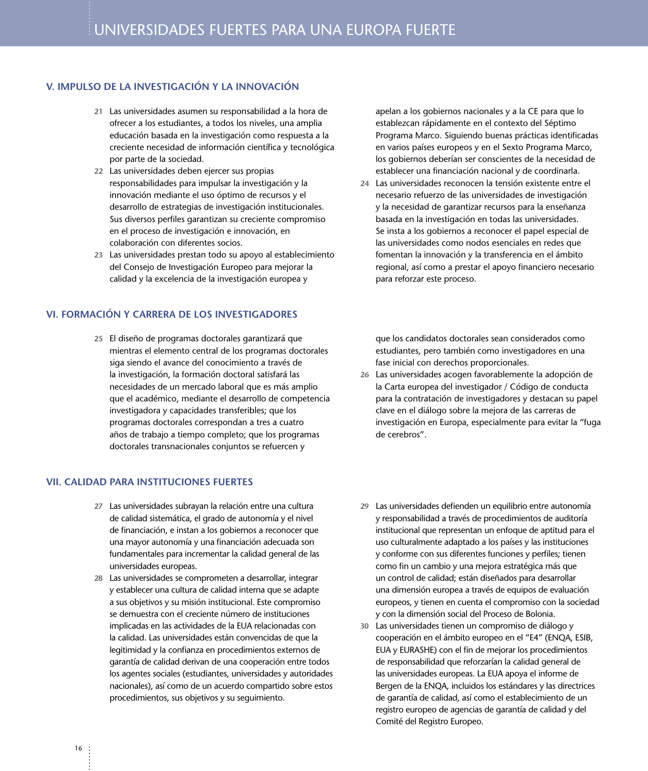#### **V. IMPULSO DE LA INVESTIGACIÓN Y LA INNOVACIÓN**

- **21** Las universidades asumen su responsabilidad a la hora de ofrecer a los estudiantes, a todos los niveles, una amplia educación basada en la investigación como respuesta a la creciente necesidad de información científica y tecnológica por parte de la sociedad.
- **22** Las universidades deben ejercer sus propias responsabilidades para impulsar la investigación y la innovación mediante el uso óptimo de recursos y el desarrollo de estrategias de investigación institucionales. Sus diversos perfiles garantizan su creciente compromiso en el proceso de investigación e innovación, en colaboración con diferentes socios.
- **23** Las universidades prestan todo su apoyo al establecimiento del Consejo de Investigación Europeo para mejorar la calidad y la excelencia de la investigación europea y

#### **VI. FORMACIÓN Y CARRERA DE LOS INVESTIGADORES**

**25** El diseño de programas doctorales garantizará que mientras el elemento central de los programas doctorales siga siendo el avance del conocimiento a través de la investigación, la formación doctoral satisfará las necesidades de un mercado laboral que es más amplio que el académico, mediante el desarrollo de competencia investigadora y capacidades transferibles; que los programas doctorales correspondan a tres a cuatro años de trabajo a tiempo completo; que los programas doctorales transnacionales conjuntos se refuercen y

#### **VII. CALIDAD PARA INSTITUCIONES FUERTES**

- **27** Las universidades subrayan la relación entre una cultura de calidad sistemática, el grado de autonomía y el nivel de financiación, e instan a los gobiernos a reconocer que una mayor autonomía y una financiación adecuada son fundamentales para incrementar la calidad general de las universidades europeas.
- **28** Las universidades se comprometen a desarrollar, integrar y establecer una cultura de calidad interna que se adapte a sus objetivos y su misión institucional. Este compromiso se demuestra con el creciente número de instituciones implicadas en las actividades de la EUA relacionadas con la calidad. Las universidades están convencidas de que la legitimidad y la confianza en procedimientos externos de garantía de calidad derivan de una cooperación entre todos los agentes sociales (estudiantes, universidades y autoridades nacionales), así como de un acuerdo compartido sobre estos procedimientos, sus objetivos y su seguimiento.

apelan a los gobiernos nacionales y a la CE para que lo establezcan rápidamente en el contexto del Séptimo Programa Marco. Siguiendo buenas prácticas identificadas en varios países europeos y en el Sexto Programa Marco, los gobiernos deberían ser conscientes de la necesidad de establecer una financiación nacional y de coordinarla.

**24** Las universidades reconocen la tensión existente entre el necesario refuerzo de las universidades de investigación y la necesidad de garantizar recursos para la enseñanza basada en la investigación en todas las universidades. Se insta a los gobiernos a reconocer el papel especial de las universidades como nodos esenciales en redes que fomentan la innovación y la transferencia en el ámbito regional, así como a prestar el apoyo financiero necesario para reforzar este proceso.

que los candidatos doctorales sean considerados como estudiantes, pero también como investigadores en una fase inicial con derechos proporcionales.

- **26** Las universidades acogen favorablemente la adopción de la Carta europea del investigador / Código de conducta para la contratación de investigadores y destacan su papel clave en el diálogo sobre la mejora de las carreras de investigación en Europa, especialmente para evitar la "fuga de cerebros".
- **29** Las universidades defienden un equilibrio entre autonomía y responsabilidad a través de procedimientos de auditoría institucional que representan un enfoque de aptitud para el uso culturalmente adaptado a los países y las instituciones y conforme con sus diferentes funciones y perfiles; tienen como fin un cambio y una mejora estratégica más que un control de calidad; están diseñados para desarrollar una dimensión europea a través de equipos de evaluación europeos, y tienen en cuenta el compromiso con la sociedad y con la dimensión social del Proceso de Bolonia.
- **30** Las universidades tienen un compromiso de diálogo y cooperación en el ámbito europeo en el "E4" (ENQA, ESIB, EUA y EURASHE) con el fin de mejorar los procedimientos de responsabilidad que reforzarían la calidad general de las universidades europeas. La EUA apoya el informe de Bergen de la ENQA, incluidos los estándares y las directrices de garantía de calidad, así como el establecimiento de un registro europeo de agencias de garantía de calidad y del Comité del Registro Europeo.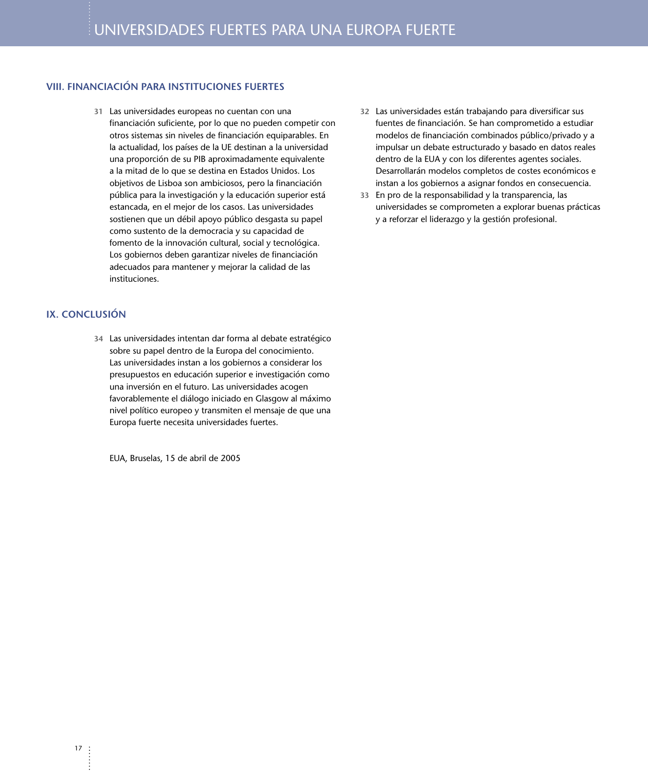#### **VIII. FINANCIACIÓN PARA INSTITUCIONES FUERTES**

**31** Las universidades europeas no cuentan con una financiación suficiente, por lo que no pueden competir con otros sistemas sin niveles de financiación equiparables. En la actualidad, los países de la UE destinan a la universidad una proporción de su PIB aproximadamente equivalente a la mitad de lo que se destina en Estados Unidos. Los objetivos de Lisboa son ambiciosos, pero la financiación pública para la investigación y la educación superior está estancada, en el mejor de los casos. Las universidades sostienen que un débil apoyo público desgasta su papel como sustento de la democracia y su capacidad de fomento de la innovación cultural, social y tecnológica. Los gobiernos deben garantizar niveles de financiación adecuados para mantener y mejorar la calidad de las instituciones.

#### **IX. CONCLUSIÓN**

**34** Las universidades intentan dar forma al debate estratégico sobre su papel dentro de la Europa del conocimiento. Las universidades instan a los gobiernos a considerar los presupuestos en educación superior e investigación como una inversión en el futuro. Las universidades acogen favorablemente el diálogo iniciado en Glasgow al máximo nivel político europeo y transmiten el mensaje de que una Europa fuerte necesita universidades fuertes.

EUA, Bruselas, 15 de abril de 2005

- **32** Las universidades están trabajando para diversificar sus fuentes de financiación. Se han comprometido a estudiar modelos de financiación combinados público/privado y a impulsar un debate estructurado y basado en datos reales dentro de la EUA y con los diferentes agentes sociales. Desarrollarán modelos completos de costes económicos e instan a los gobiernos a asignar fondos en consecuencia.
- **33** En pro de la responsabilidad y la transparencia, las universidades se comprometen a explorar buenas prácticas y a reforzar el liderazgo y la gestión profesional.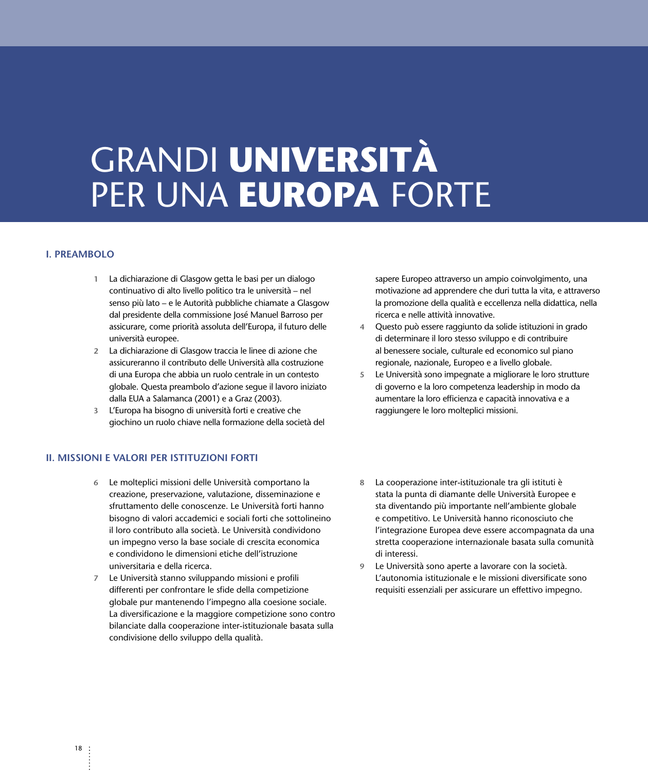# GRANDI **UNIVERSITÀ** PER UNA **EUROPA** FORTE

#### **I. PREAMBOLO**

- **1** La dichiarazione di Glasgow getta le basi per un dialogo continuativo di alto livello politico tra le università – nel senso più lato – e le Autorità pubbliche chiamate a Glasgow dal presidente della commissione José Manuel Barroso per assicurare, come priorità assoluta dell'Europa, il futuro delle università europee.
- **2** La dichiarazione di Glasgow traccia le linee di azione che assicureranno il contributo delle Università alla costruzione di una Europa che abbia un ruolo centrale in un contesto globale. Questa preambolo d'azione segue il lavoro iniziato dalla EUA a Salamanca (2001) e a Graz (2003).
- **3** L'Europa ha bisogno di università forti e creative che giochino un ruolo chiave nella formazione della società del

#### **II. MISSIONI E VALORI PER ISTITUZIONI FORTI**

- **6** Le molteplici missioni delle Università comportano la creazione, preservazione, valutazione, disseminazione e sfruttamento delle conoscenze. Le Università forti hanno bisogno di valori accademici e sociali forti che sottolineino il loro contributo alla società. Le Università condividono un impegno verso la base sociale di crescita economica e condividono le dimensioni etiche dell'istruzione universitaria e della ricerca.
- **7** Le Università stanno sviluppando missioni e profili differenti per confrontare le sfide della competizione globale pur mantenendo l'impegno alla coesione sociale. La diversificazione e la maggiore competizione sono contro bilanciate dalla cooperazione inter-istituzionale basata sulla condivisione dello sviluppo della qualità.

sapere Europeo attraverso un ampio coinvolgimento, una motivazione ad apprendere che duri tutta la vita, e attraverso la promozione della qualità e eccellenza nella didattica, nella ricerca e nelle attività innovative.

- **4** Questo può essere raggiunto da solide istituzioni in grado di determinare il loro stesso sviluppo e di contribuire al benessere sociale, culturale ed economico sul piano regionale, nazionale, Europeo e a livello globale.
- **5** Le Università sono impegnate a migliorare le loro strutture di governo e la loro competenza leadership in modo da aumentare la loro efficienza e capacità innovativa e a raggiungere le loro molteplici missioni.
- **8** La cooperazione inter-istituzionale tra gli istituti è stata la punta di diamante delle Università Europee e sta diventando più importante nell'ambiente globale e competitivo. Le Università hanno riconosciuto che l'integrazione Europea deve essere accompagnata da una stretta cooperazione internazionale basata sulla comunità di interessi.
- **9** Le Università sono aperte a lavorare con la società. L'autonomia istituzionale e le missioni diversificate sono requisiti essenziali per assicurare un effettivo impegno.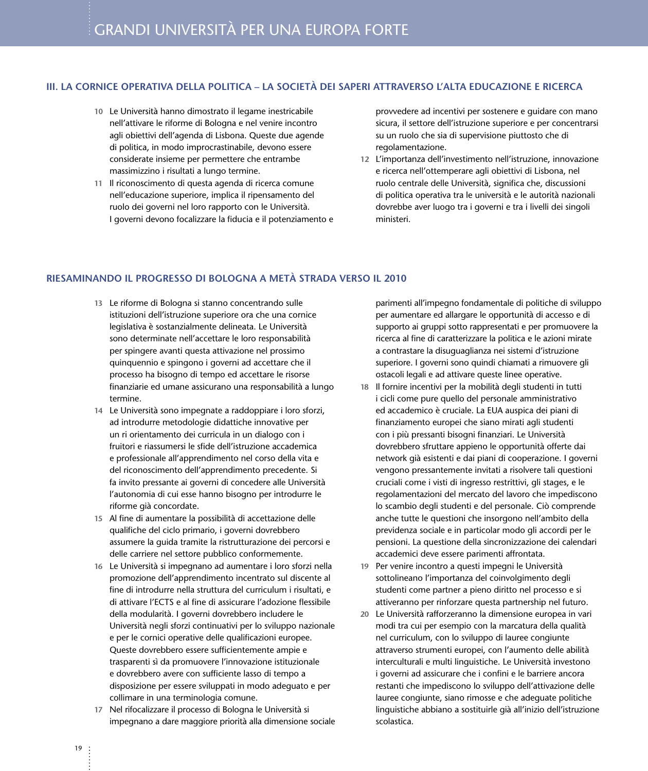#### **III. LA CORNICE OPERATIVA DELLA POLITICA – LA SOCIETÀ DEI SAPERI ATTRAVERSO L'ALTA EDUCAZIONE E RICERCA**

- **10** Le Università hanno dimostrato il legame inestricabile nell'attivare le riforme di Bologna e nel venire incontro agli obiettivi dell'agenda di Lisbona. Queste due agende di politica, in modo improcrastinabile, devono essere considerate insieme per permettere che entrambe massimizzino i risultati a lungo termine.
- **11** Il riconoscimento di questa agenda di ricerca comune nell'educazione superiore, implica il ripensamento del ruolo dei governi nel loro rapporto con le Università. I governi devono focalizzare la fiducia e il potenziamento e

provvedere ad incentivi per sostenere e guidare con mano sicura, il settore dell'istruzione superiore e per concentrarsi su un ruolo che sia di supervisione piuttosto che di regolamentazione.

**12** L'importanza dell'investimento nell'istruzione, innovazione e ricerca nell'ottemperare agli obiettivi di Lisbona, nel ruolo centrale delle Università, significa che, discussioni di politica operativa tra le università e le autorità nazionali dovrebbe aver luogo tra i governi e tra i livelli dei singoli ministeri.

#### **RIESAMINANDO IL PROGRESSO DI BOLOGNA A METÀ STRADA VERSO IL 2010**

- **13** Le riforme di Bologna si stanno concentrando sulle istituzioni dell'istruzione superiore ora che una cornice legislativa è sostanzialmente delineata. Le Università sono determinate nell'accettare le loro responsabilità per spingere avanti questa attivazione nel prossimo quinquennio e spingono i governi ad accettare che il processo ha bisogno di tempo ed accettare le risorse finanziarie ed umane assicurano una responsabilità a lungo termine.
- **14** Le Università sono impegnate a raddoppiare i loro sforzi, ad introdurre metodologie didattiche innovative per un ri orientamento dei curricula in un dialogo con i fruitori e riassumersi le sfide dell'istruzione accademica e professionale all'apprendimento nel corso della vita e del riconoscimento dell'apprendimento precedente. Si fa invito pressante ai governi di concedere alle Università l'autonomia di cui esse hanno bisogno per introdurre le riforme già concordate.
- **15** Al fine di aumentare la possibilità di accettazione delle qualifiche del ciclo primario, i governi dovrebbero assumere la guida tramite la ristrutturazione dei percorsi e delle carriere nel settore pubblico conformemente.
- **16** Le Università si impegnano ad aumentare i loro sforzi nella promozione dell'apprendimento incentrato sul discente al fine di introdurre nella struttura del curriculum i risultati, e di attivare l'ECTS e al fine di assicurare l'adozione flessibile della modularità. I governi dovrebbero includere le Università negli sforzi continuativi per lo sviluppo nazionale e per le cornici operative delle qualificazioni europee. Queste dovrebbero essere sufficientemente ampie e trasparenti sì da promuovere l'innovazione istituzionale e dovrebbero avere con sufficiente lasso di tempo a disposizione per essere sviluppati in modo adeguato e per collimare in una terminologia comune.
- **17** Nel rifocalizzare il processo di Bologna le Università si impegnano a dare maggiore priorità alla dimensione sociale

parimenti all'impegno fondamentale di politiche di sviluppo per aumentare ed allargare le opportunità di accesso e di supporto ai gruppi sotto rappresentati e per promuovere la ricerca al fine di caratterizzare la politica e le azioni mirate a contrastare la disuguaglianza nei sistemi d'istruzione superiore. I governi sono quindi chiamati a rimuovere gli ostacoli legali e ad attivare queste linee operative.

- **18** Il fornire incentivi per la mobilità degli studenti in tutti i cicli come pure quello del personale amministrativo ed accademico è cruciale. La EUA auspica dei piani di finanziamento europei che siano mirati agli studenti con i più pressanti bisogni finanziari. Le Università dovrebbero sfruttare appieno le opportunità offerte dai network già esistenti e dai piani di cooperazione. I governi vengono pressantemente invitati a risolvere tali questioni cruciali come i visti di ingresso restrittivi, gli stages, e le regolamentazioni del mercato del lavoro che impediscono lo scambio degli studenti e del personale. Ciò comprende anche tutte le questioni che insorgono nell'ambito della previdenza sociale e in particolar modo gli accordi per le pensioni. La questione della sincronizzazione dei calendari accademici deve essere parimenti affrontata.
- **19** Per venire incontro a questi impegni le Università sottolineano l'importanza del coinvolgimento degli studenti come partner a pieno diritto nel processo e si attiveranno per rinforzare questa partnership nel futuro.
- **20** Le Università rafforzeranno la dimensione europea in vari modi tra cui per esempio con la marcatura della qualità nel curriculum, con lo sviluppo di lauree congiunte attraverso strumenti europei, con l'aumento delle abilità interculturali e multi linguistiche. Le Università investono i governi ad assicurare che i confini e le barriere ancora restanti che impediscono lo sviluppo dell'attivazione delle lauree congiunte, siano rimosse e che adeguate politiche linguistiche abbiano a sostituirle già all'inizio dell'istruzione scolastica.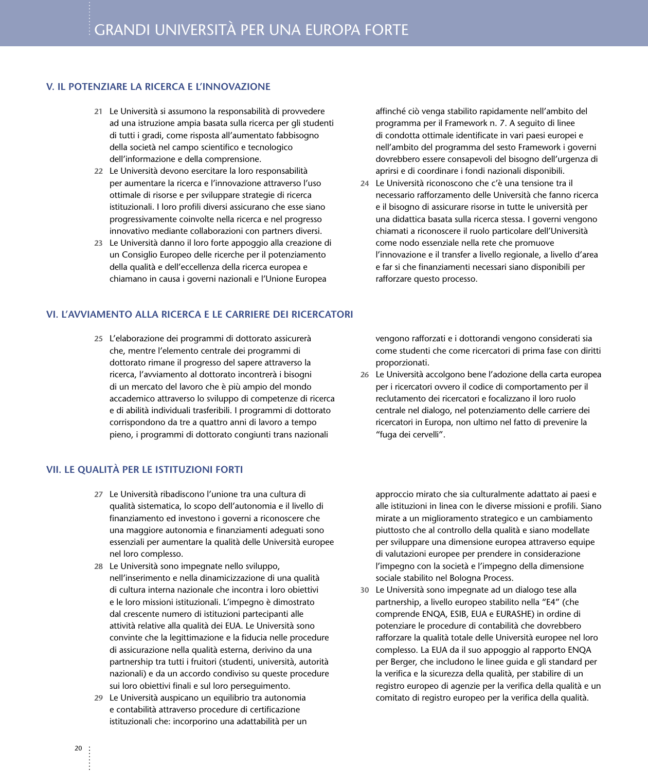#### **V. IL POTENZIARE LA RICERCA E L'INNOVAZIONE**

- **21** Le Università si assumono la responsabilità di provvedere ad una istruzione ampia basata sulla ricerca per gli studenti di tutti i gradi, come risposta all'aumentato fabbisogno della società nel campo scientifico e tecnologico dell'informazione e della comprensione.
- **22** Le Università devono esercitare la loro responsabilità per aumentare la ricerca e l'innovazione attraverso l'uso ottimale di risorse e per sviluppare strategie di ricerca istituzionali. I loro profili diversi assicurano che esse siano progressivamente coinvolte nella ricerca e nel progresso innovativo mediante collaborazioni con partners diversi.
- **23** Le Università danno il loro forte appoggio alla creazione di un Consiglio Europeo delle ricerche per il potenziamento della qualità e dell'eccellenza della ricerca europea e chiamano in causa i governi nazionali e l'Unione Europea

#### **VI. L'AVVIAMENTO ALLA RICERCA E LE CARRIERE DEI RICERCATORI**

**25** L'elaborazione dei programmi di dottorato assicurerà che, mentre l'elemento centrale dei programmi di dottorato rimane il progresso del sapere attraverso la ricerca, l'avviamento al dottorato incontrerà i bisogni di un mercato del lavoro che è più ampio del mondo accademico attraverso lo sviluppo di competenze di ricerca e di abilità individuali trasferibili. I programmi di dottorato corrispondono da tre a quattro anni di lavoro a tempo pieno, i programmi di dottorato congiunti trans nazionali

#### **VII. LE QUALITÀ PER LE ISTITUZIONI FORTI**

- **27** Le Università ribadiscono l'unione tra una cultura di qualità sistematica, lo scopo dell'autonomia e il livello di finanziamento ed investono i governi a riconoscere che una maggiore autonomia e finanziamenti adeguati sono essenziali per aumentare la qualità delle Università europee nel loro complesso.
- **28** Le Università sono impegnate nello sviluppo, nell'inserimento e nella dinamicizzazione di una qualità di cultura interna nazionale che incontra i loro obiettivi e le loro missioni istituzionali. L'impegno è dimostrato dal crescente numero di istituzioni partecipanti alle attività relative alla qualità dei EUA. Le Università sono convinte che la legittimazione e la fiducia nelle procedure di assicurazione nella qualità esterna, derivino da una partnership tra tutti i fruitori (studenti, università, autorità nazionali) e da un accordo condiviso su queste procedure sui loro obiettivi finali e sul loro perseguimento.
- **29** Le Università auspicano un equilibrio tra autonomia e contabilità attraverso procedure di certificazione istituzionali che: incorporino una adattabilità per un

affinché ciò venga stabilito rapidamente nell'ambito del programma per il Framework n. 7. A seguito di linee di condotta ottimale identificate in vari paesi europei e nell'ambito del programma del sesto Framework i governi dovrebbero essere consapevoli del bisogno dell'urgenza di aprirsi e di coordinare i fondi nazionali disponibili.

**24** Le Università riconoscono che c'è una tensione tra il necessario rafforzamento delle Università che fanno ricerca e il bisogno di assicurare risorse in tutte le università per una didattica basata sulla ricerca stessa. I governi vengono chiamati a riconoscere il ruolo particolare dell'Università come nodo essenziale nella rete che promuove l'innovazione e il transfer a livello regionale, a livello d'area e far si che finanziamenti necessari siano disponibili per rafforzare questo processo.

vengono rafforzati e i dottorandi vengono considerati sia come studenti che come ricercatori di prima fase con diritti proporzionati.

**26** Le Università accolgono bene l'adozione della carta europea per i ricercatori ovvero il codice di comportamento per il reclutamento dei ricercatori e focalizzano il loro ruolo centrale nel dialogo, nel potenziamento delle carriere dei ricercatori in Europa, non ultimo nel fatto di prevenire la "fuga dei cervelli".

approccio mirato che sia culturalmente adattato ai paesi e alle istituzioni in linea con le diverse missioni e profili. Siano mirate a un miglioramento strategico e un cambiamento piuttosto che al controllo della qualità e siano modellate per sviluppare una dimensione europea attraverso equipe di valutazioni europee per prendere in considerazione l'impegno con la società e l'impegno della dimensione sociale stabilito nel Bologna Process.

**30** Le Università sono impegnate ad un dialogo tese alla partnership, a livello europeo stabilito nella "E4" (che comprende ENQA, ESIB, EUA e EURASHE) in ordine di potenziare le procedure di contabilità che dovrebbero rafforzare la qualità totale delle Università europee nel loro complesso. La EUA da il suo appoggio al rapporto ENQA per Berger, che includono le linee guida e gli standard per la verifica e la sicurezza della qualità, per stabilire di un registro europeo di agenzie per la verifica della qualità e un comitato di registro europeo per la verifica della qualità.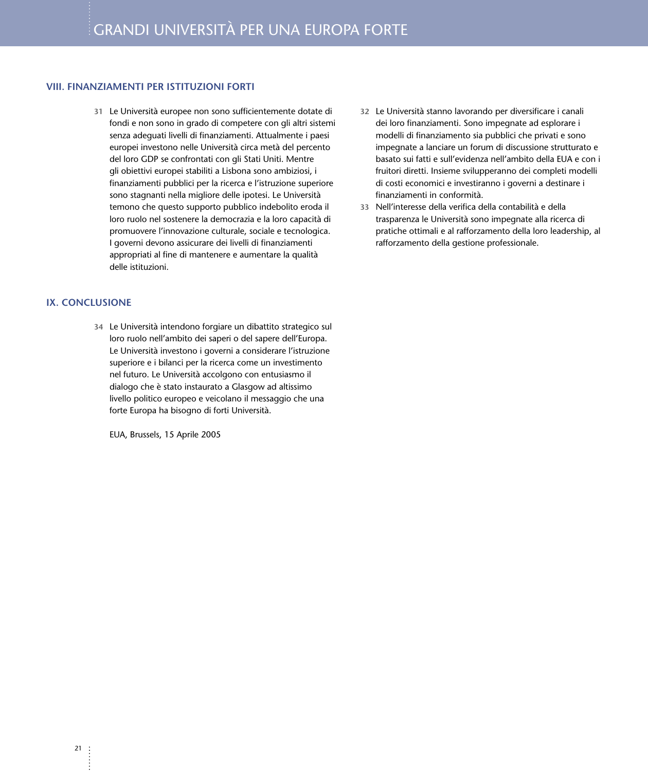#### **VIII. FINANZIAMENTI PER ISTITUZIONI FORTI**

**31** Le Università europee non sono sufficientemente dotate di fondi e non sono in grado di competere con gli altri sistemi senza adeguati livelli di finanziamenti. Attualmente i paesi europei investono nelle Università circa metà del percento del loro GDP se confrontati con gli Stati Uniti. Mentre gli obiettivi europei stabiliti a Lisbona sono ambiziosi, i finanziamenti pubblici per la ricerca e l'istruzione superiore sono stagnanti nella migliore delle ipotesi. Le Università temono che questo supporto pubblico indebolito eroda il loro ruolo nel sostenere la democrazia e la loro capacità di promuovere l'innovazione culturale, sociale e tecnologica. I governi devono assicurare dei livelli di finanziamenti appropriati al fine di mantenere e aumentare la qualità delle istituzioni.

#### **IX. CONCLUSIONE**

**34** Le Università intendono forgiare un dibattito strategico sul loro ruolo nell'ambito dei saperi o del sapere dell'Europa. Le Università investono i governi a considerare l'istruzione superiore e i bilanci per la ricerca come un investimento nel futuro. Le Università accolgono con entusiasmo il dialogo che è stato instaurato a Glasgow ad altissimo livello politico europeo e veicolano il messaggio che una forte Europa ha bisogno di forti Università.

EUA, Brussels, 15 Aprile 2005

- **32** Le Università stanno lavorando per diversificare i canali dei loro finanziamenti. Sono impegnate ad esplorare i modelli di finanziamento sia pubblici che privati e sono impegnate a lanciare un forum di discussione strutturato e basato sui fatti e sull'evidenza nell'ambito della EUA e con i fruitori diretti. Insieme svilupperanno dei completi modelli di costi economici e investiranno i governi a destinare i finanziamenti in conformità.
- **33** Nell'interesse della verifica della contabilità e della trasparenza le Università sono impegnate alla ricerca di pratiche ottimali e al rafforzamento della loro leadership, al rafforzamento della gestione professionale.

 $\ddot{\phantom{a}}$